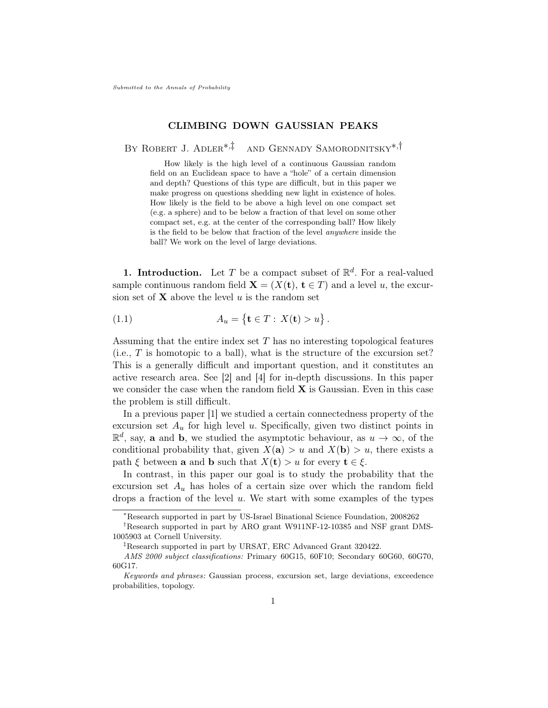# CLIMBING DOWN GAUSSIAN PEAKS

By Robert J. Adler[∗](#page-0-0),[‡](#page-0-1) and Gennady Samorodnitsky[∗](#page-0-0),[†](#page-0-2)

How likely is the high level of a continuous Gaussian random field on an Euclidean space to have a "hole" of a certain dimension and depth? Questions of this type are difficult, but in this paper we make progress on questions shedding new light in existence of holes. How likely is the field to be above a high level on one compact set (e.g. a sphere) and to be below a fraction of that level on some other compact set, e.g. at the center of the corresponding ball? How likely is the field to be below that fraction of the level anywhere inside the ball? We work on the level of large deviations.

**1. Introduction.** Let T be a compact subset of  $\mathbb{R}^d$ . For a real-valued sample continuous random field  $\mathbf{X} = (X(t), t \in T)$  and a level u, the excursion set of  $X$  above the level u is the random set

(1.1) 
$$
A_u = \{ \mathbf{t} \in T : X(\mathbf{t}) > u \}.
$$

Assuming that the entire index set  $T$  has no interesting topological features  $(i.e., T is homotopic to a ball)$ , what is the structure of the excursion set? This is a generally difficult and important question, and it constitutes an active research area. See [\[2\]](#page-31-0) and [\[4\]](#page-31-1) for in-depth discussions. In this paper we consider the case when the random field  $X$  is Gaussian. Even in this case the problem is still difficult.

In a previous paper [\[1\]](#page-31-2) we studied a certain connectedness property of the excursion set  $A_u$  for high level u. Specifically, given two distinct points in  $\mathbb{R}^d$ , say, **a** and **b**, we studied the asymptotic behaviour, as  $u \to \infty$ , of the conditional probability that, given  $X(\mathbf{a}) > u$  and  $X(\mathbf{b}) > u$ , there exists a path  $\xi$  between **a** and **b** such that  $X(t) > u$  for every  $t \in \xi$ .

In contrast, in this paper our goal is to study the probability that the excursion set  $A_u$  has holes of a certain size over which the random field drops a fraction of the level  $u$ . We start with some examples of the types

<span id="page-0-2"></span><span id="page-0-0"></span><sup>∗</sup>Research supported in part by US-Israel Binational Science Foundation, 2008262

<sup>†</sup>Research supported in part by ARO grant W911NF-12-10385 and NSF grant DMS-1005903 at Cornell University.

<span id="page-0-1"></span><sup>‡</sup>Research supported in part by URSAT, ERC Advanced Grant 320422.

AMS 2000 subject classifications: Primary 60G15, 60F10; Secondary 60G60, 60G70, 60G17.

Keywords and phrases: Gaussian process, excursion set, large deviations, exceedence probabilities, topology.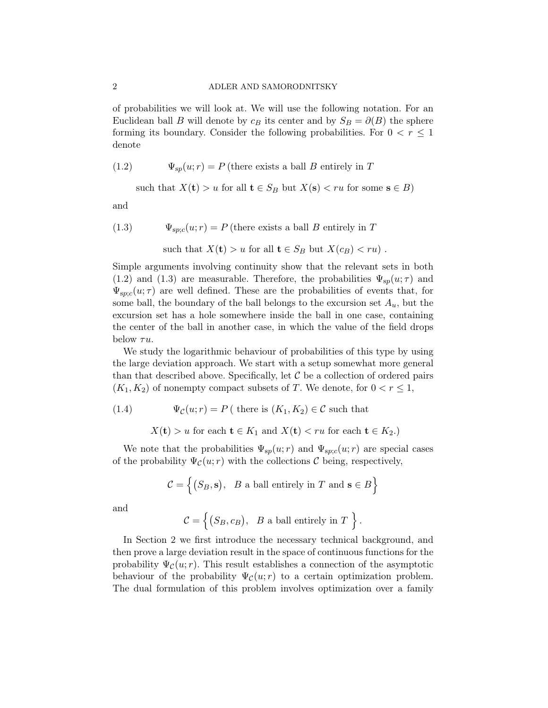of probabilities we will look at. We will use the following notation. For an Euclidean ball B will denote by  $c_B$  its center and by  $S_B = \partial(B)$  the sphere forming its boundary. Consider the following probabilities. For  $0 < r \leq 1$ denote

(1.2)  $\Psi_{sp}(u; r) = P$  (there exists a ball B entirely in T

<span id="page-1-0"></span>such that 
$$
X(t) > u
$$
 for all  $t \in S_B$  but  $X(s) < ru$  for some  $s \in B$ )

and

(1.3) 
$$
\Psi_{sp;c}(u; r) = P \text{ (there exists a ball } B \text{ entirely in } T
$$

<span id="page-1-1"></span>such that 
$$
X(t) > u
$$
 for all  $t \in S_B$  but  $X(c_B) < ru$ .

Simple arguments involving continuity show that the relevant sets in both [\(1.2\)](#page-1-0) and [\(1.3\)](#page-1-1) are measurable. Therefore, the probabilities  $\Psi_{sp}(u;\tau)$  and  $\Psi_{\rm sp;c}(u;\tau)$  are well defined. These are the probabilities of events that, for some ball, the boundary of the ball belongs to the excursion set  $A_u$ , but the excursion set has a hole somewhere inside the ball in one case, containing the center of the ball in another case, in which the value of the field drops below  $\tau u$ .

We study the logarithmic behaviour of probabilities of this type by using the large deviation approach. We start with a setup somewhat more general than that described above. Specifically, let  $\mathcal C$  be a collection of ordered pairs  $(K_1, K_2)$  of nonempty compact subsets of T. We denote, for  $0 < r \leq 1$ ,

(1.4) 
$$
\Psi_{\mathcal{C}}(u; r) = P \left( \text{ there is } (K_1, K_2) \in \mathcal{C} \text{ such that } \right)
$$

<span id="page-1-2"></span> $X(t) > u$  for each  $t \in K_1$  and  $X(t) < ru$  for each  $t \in K_2$ .

We note that the probabilities  $\Psi_{sp}(u; r)$  and  $\Psi_{sp;c}(u; r)$  are special cases of the probability  $\Psi_{\mathcal{C}}(u; r)$  with the collections C being, respectively,

$$
\mathcal{C} = \left\{ (S_B, \mathbf{s}), \ B \text{ a ball entirely in } T \text{ and } \mathbf{s} \in B \right\}
$$

and

$$
\mathcal{C} = \left\{ (S_B, c_B), \quad B \text{ a ball entirely in } T \right\}.
$$

In Section [2](#page-2-0) we first introduce the necessary technical background, and then prove a large deviation result in the space of continuous functions for the probability  $\Psi_{\mathcal{C}}(u; r)$ . This result establishes a connection of the asymptotic behaviour of the probability  $\Psi_{\mathcal{C}}(u; r)$  to a certain optimization problem. The dual formulation of this problem involves optimization over a family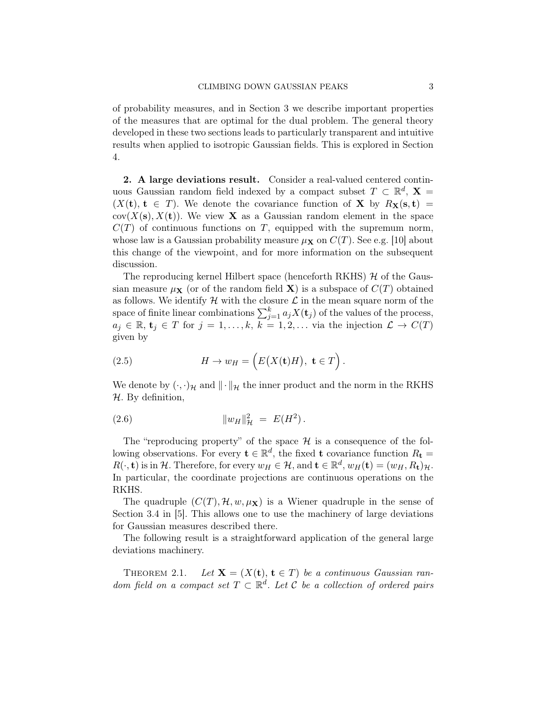of probability measures, and in Section [3](#page-14-0) we describe important properties of the measures that are optimal for the dual problem. The general theory developed in these two sections leads to particularly transparent and intuitive results when applied to isotropic Gaussian fields. This is explored in Section [4.](#page-20-0)

<span id="page-2-0"></span>2. A large deviations result. Consider a real-valued centered continuous Gaussian random field indexed by a compact subset  $T \subset \mathbb{R}^d$ ,  $\mathbf{X} =$  $(X(t), t \in T)$ . We denote the covariance function of **X** by  $R_X(s,t)$  =  $cov(X(s), X(t))$ . We view **X** as a Gaussian random element in the space  $C(T)$  of continuous functions on T, equipped with the supremum norm, whose law is a Gaussian probability measure  $\mu_X$  on  $C(T)$ . See e.g. [\[10\]](#page-31-3) about this change of the viewpoint, and for more information on the subsequent discussion.

The reproducing kernel Hilbert space (henceforth RKHS)  $\mathcal{H}$  of the Gaussian measure  $\mu$ **x** (or of the random field **X**) is a subspace of  $C(T)$  obtained as follows. We identify  $\mathcal H$  with the closure  $\mathcal L$  in the mean square norm of the space of finite linear combinations  $\sum_{j=1}^{k} a_j X(\mathbf{t}_j)$  of the values of the process,  $a_j \in \mathbb{R}, t_j \in T$  for  $j = 1, \ldots, k, k = 1, 2, \ldots$  via the injection  $\mathcal{L} \to C(T)$ given by

(2.5) 
$$
H \to w_H = \left( E(X(\mathbf{t})H), \ \mathbf{t} \in T \right).
$$

We denote by  $(\cdot, \cdot)_{\mathcal{H}}$  and  $\|\cdot\|_{\mathcal{H}}$  the inner product and the norm in the RKHS  $H$ . By definition,

(2.6) 
$$
||w_H||_{\mathcal{H}}^2 = E(H^2).
$$

The "reproducing property" of the space  $\mathcal H$  is a consequence of the following observations. For every  $\mathbf{t} \in \mathbb{R}^d$ , the fixed  $\mathbf{t}$  covariance function  $R_{\mathbf{t}} =$  $R(\cdot, \mathbf{t})$  is in H. Therefore, for every  $w_H \in \mathcal{H}$ , and  $\mathbf{t} \in \mathbb{R}^d$ ,  $w_H(\mathbf{t}) = (w_H, R_{\mathbf{t}})_{\mathcal{H}}$ . In particular, the coordinate projections are continuous operations on the RKHS.

The quadruple  $(C(T), \mathcal{H}, w, \mu_X)$  is a Wiener quadruple in the sense of Section 3.4 in [\[5\]](#page-31-4). This allows one to use the machinery of large deviations for Gaussian measures described there.

The following result is a straightforward application of the general large deviations machinery.

<span id="page-2-1"></span>THEOREM 2.1. Let  $X = (X(t), t \in T)$  be a continuous Gaussian random field on a compact set  $T \subset \mathbb{R}^d$ . Let C be a collection of ordered pairs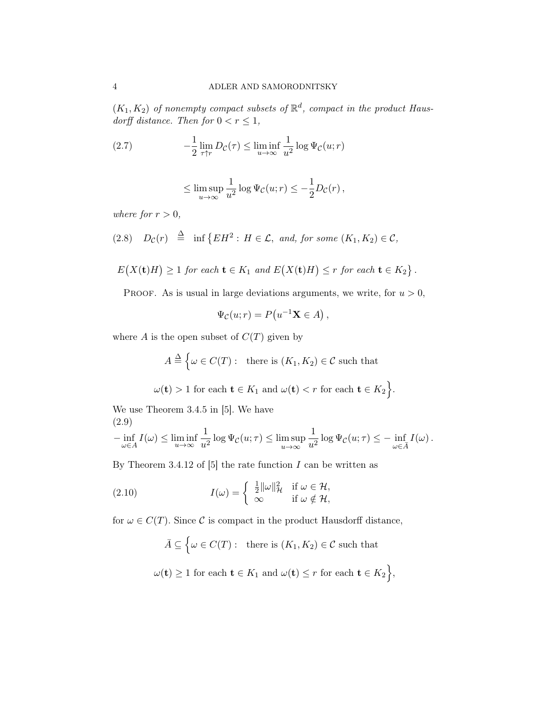$(K_1, K_2)$  of nonempty compact subsets of  $\mathbb{R}^d$ , compact in the product Hausdorff distance. Then for  $0 < r \leq 1$ ,

(2.7) 
$$
-\frac{1}{2}\lim_{\tau\uparrow r}D_{\mathcal{C}}(\tau)\leq \liminf_{u\to\infty}\frac{1}{u^2}\log\Psi_{\mathcal{C}}(u;r)
$$

<span id="page-3-1"></span>
$$
\leq \limsup_{u\to\infty}\frac{1}{u^2}\log\Psi_{\mathcal C}(u;r)\leq -\frac{1}{2}D_{\mathcal C}(r)\,,
$$

where for  $r > 0$ ,

<span id="page-3-2"></span>
$$
(2.8) \quad D_{\mathcal{C}}(r) \triangleq \inf \left\{ EH^2 : H \in \mathcal{L}, \text{ and, for some } (K_1, K_2) \in \mathcal{C}, \right\}
$$

$$
E(X(t)H) \ge 1 \text{ for each } t \in K_1 \text{ and } E(X(t)H) \le r \text{ for each } t \in K_2 \}.
$$

PROOF. As is usual in large deviations arguments, we write, for  $u > 0$ ,

$$
\Psi_{\mathcal{C}}(u;r) = P(u^{-1}\mathbf{X} \in A),
$$

where A is the open subset of  $C(T)$  given by

$$
A \stackrel{\Delta}{=} \Big\{ \omega \in C(T) : \text{ there is } (K_1, K_2) \in \mathcal{C} \text{ such that }
$$

 $\omega(\mathbf{t}) > 1$  for each  $\mathbf{t} \in K_1$  and  $\omega(\mathbf{t}) < r$  for each  $\mathbf{t} \in K_2$ .

We use Theorem 3.4.5 in [\[5\]](#page-31-4). We have (2.9)

<span id="page-3-0"></span>
$$
-\inf_{\omega\in A} I(\omega) \leq \liminf_{u\to\infty} \frac{1}{u^2} \log \Psi_{\mathcal{C}}(u;\tau) \leq \limsup_{u\to\infty} \frac{1}{u^2} \log \Psi_{\mathcal{C}}(u;\tau) \leq -\inf_{\omega\in \bar{A}} I(\omega).
$$

By Theorem 3.4.12 of  $[5]$  the rate function I can be written as

(2.10) 
$$
I(\omega) = \begin{cases} \frac{1}{2} ||\omega||_{\mathcal{H}}^2 & \text{if } \omega \in \mathcal{H}, \\ \infty & \text{if } \omega \notin \mathcal{H}, \end{cases}
$$

for  $\omega \in C(T)$ . Since C is compact in the product Hausdorff distance,

 $\bar{A} \subseteq \Big\{\omega \in C(T): \text{ there is } (K_1, K_2) \in \mathcal{C} \text{ such that }$  $\omega(\mathbf{t}) \geq 1$  for each  $\mathbf{t} \in K_1$  and  $\omega(\mathbf{t}) \leq r$  for each  $\mathbf{t} \in K_2$ ,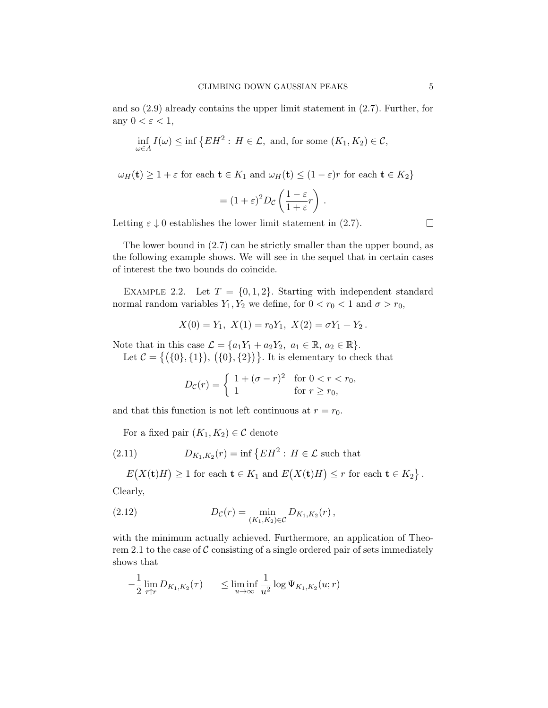and so [\(2.9\)](#page-3-0) already contains the upper limit statement in [\(2.7\)](#page-3-1). Further, for any  $0 < \varepsilon < 1$ ,

$$
\inf_{\omega \in A} I(\omega) \le \inf \left\{ EH^2 : H \in \mathcal{L}, \text{ and, for some } (K_1, K_2) \in \mathcal{C}, \right\}
$$

 $\omega_H(\mathbf{t}) \geq 1 + \varepsilon$  for each  $\mathbf{t} \in K_1$  and  $\omega_H(\mathbf{t}) \leq (1 - \varepsilon)r$  for each  $\mathbf{t} \in K_2$ 

$$
= (1+\varepsilon)^2 D_{\mathcal{C}} \left( \frac{1-\varepsilon}{1+\varepsilon} r \right) .
$$

Letting  $\varepsilon \downarrow 0$  establishes the lower limit statement in [\(2.7\)](#page-3-1).

 $\Box$ 

The lower bound in [\(2.7\)](#page-3-1) can be strictly smaller than the upper bound, as the following example shows. We will see in the sequel that in certain cases of interest the two bounds do coincide.

<span id="page-4-1"></span>EXAMPLE 2.2. Let  $T = \{0, 1, 2\}$ . Starting with independent standard normal random variables  $Y_1, Y_2$  we define, for  $0 < r_0 < 1$  and  $\sigma > r_0$ ,

$$
X(0) = Y_1, X(1) = r_0 Y_1, X(2) = \sigma Y_1 + Y_2.
$$

Note that in this case  $\mathcal{L} = \{a_1Y_1 + a_2Y_2, a_1 \in \mathbb{R}, a_2 \in \mathbb{R}\}.$ Let  $C = \{ (\{0\}, \{1\}), (\{0\}, \{2\}) \}$ . It is elementary to check that

$$
D_{\mathcal{C}}(r) = \begin{cases} 1 + (\sigma - r)^2 & \text{for } 0 < r < r_0, \\ 1 & \text{for } r \ge r_0, \end{cases}
$$

and that this function is not left continuous at  $r = r_0$ .

<span id="page-4-0"></span>For a fixed pair  $(K_1, K_2) \in \mathcal{C}$  denote

(2.11) 
$$
D_{K_1,K_2}(r) = \inf \{ EH^2 : H \in \mathcal{L} \text{ such that }
$$

 $E(X(t)H) \geq 1$  for each  $t \in K_1$  and  $E(X(t)H) \leq r$  for each  $t \in K_2$ . Clearly,

<span id="page-4-3"></span>(2.12) 
$$
D_{\mathcal{C}}(r) = \min_{(K_1, K_2) \in \mathcal{C}} D_{K_1, K_2}(r),
$$

with the minimum actually achieved. Furthermore, an application of Theo-rem [2.1](#page-2-1) to the case of  $C$  consisting of a single ordered pair of sets immediately shows that

<span id="page-4-2"></span>
$$
-\frac{1}{2}\lim_{\tau\uparrow r}D_{K_1,K_2}(\tau) \leq \liminf_{u\to\infty}\frac{1}{u^2}\log\Psi_{K_1,K_2}(u;r)
$$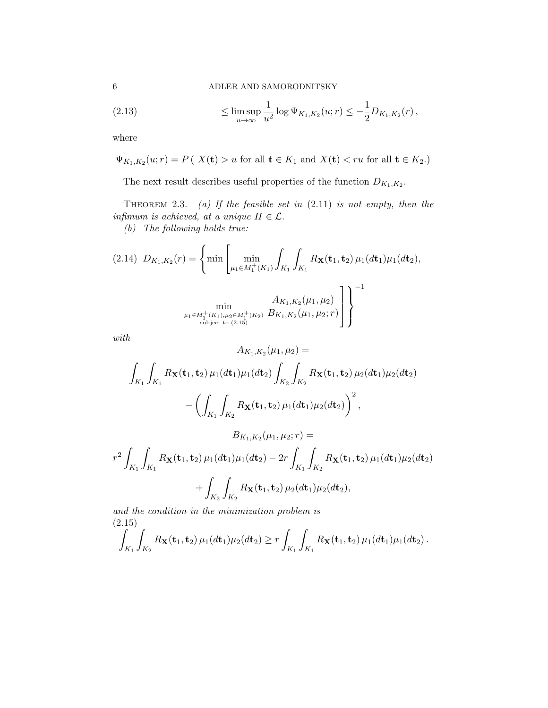6 ADLER AND SAMORODNITSKY

(2.13) 
$$
\leq \limsup_{u \to \infty} \frac{1}{u^2} \log \Psi_{K_1, K_2}(u; r) \leq -\frac{1}{2} D_{K_1, K_2}(r),
$$

where

$$
\Psi_{K_1,K_2}(u; r) = P\left(X(t) > u \text{ for all } t \in K_1 \text{ and } X(t) < ru \text{ for all } t \in K_2.\right)
$$

The next result describes useful properties of the function  $D_{K_1,K_2}$ .

<span id="page-5-2"></span>THEOREM 2.3. (a) If the feasible set in  $(2.11)$  is not empty, then the infimum is achieved, at a unique  $H \in \mathcal{L}$ .

(b) The following holds true:

<span id="page-5-1"></span>
$$
(2.14) \ \ D_{K_1,K_2}(r) = \left\{ \min \left[ \min_{\mu_1 \in M_1^+(K_1)} \int_{K_1} \int_{K_1} R_{\mathbf{X}}(\mathbf{t}_1, \mathbf{t}_2) \, \mu_1(d\mathbf{t}_1) \mu_1(d\mathbf{t}_2), \right. \\ \left. \min_{\mu_1 \in M_1^+(K_1), \mu_2 \in M_1^+(K_2)} \frac{A_{K_1,K_2}(\mu_1, \mu_2)}{B_{K_1,K_2}(\mu_1, \mu_2; r)} \right] \right\}^{-1}
$$

with

$$
A_{K_1,K_2}(\mu_1, \mu_2) =
$$
\n
$$
\int_{K_1} \int_{K_1} R_{\mathbf{X}}(\mathbf{t}_1, \mathbf{t}_2) \mu_1(dt_1) \mu_1(dt_2) \int_{K_2} \int_{K_2} R_{\mathbf{X}}(\mathbf{t}_1, \mathbf{t}_2) \mu_2(dt_1) \mu_2(dt_2)
$$
\n
$$
- \left( \int_{K_1} \int_{K_2} R_{\mathbf{X}}(\mathbf{t}_1, \mathbf{t}_2) \mu_1(dt_1) \mu_2(dt_2) \right)^2,
$$
\n
$$
B_{K_1,K_2}(\mu_1, \mu_2; r) =
$$
\n
$$
r^2 \int_{K_1} \int_{K_1} R_{\mathbf{X}}(\mathbf{t}_1, \mathbf{t}_2) \mu_1(dt_1) \mu_1(dt_2) - 2r \int_{K_1} \int_{K_2} R_{\mathbf{X}}(\mathbf{t}_1, \mathbf{t}_2) \mu_1(dt_1) \mu_2(dt_2)
$$

$$
+\int_{K_2}\int_{K_2} R_{\mathbf{X}}(\mathbf{t}_1,\mathbf{t}_2)\,\mu_2(d\mathbf{t}_1)\mu_2(d\mathbf{t}_2),
$$

and the condition in the minimization problem is (2.15)

<span id="page-5-0"></span>
$$
\int_{K_1} \int_{K_2} R_{\mathbf{X}}(\mathbf{t}_1, \mathbf{t}_2) \, \mu_1(d\mathbf{t}_1) \mu_2(d\mathbf{t}_2) \geq r \int_{K_1} \int_{K_1} R_{\mathbf{X}}(\mathbf{t}_1, \mathbf{t}_2) \, \mu_1(d\mathbf{t}_1) \mu_1(d\mathbf{t}_2).
$$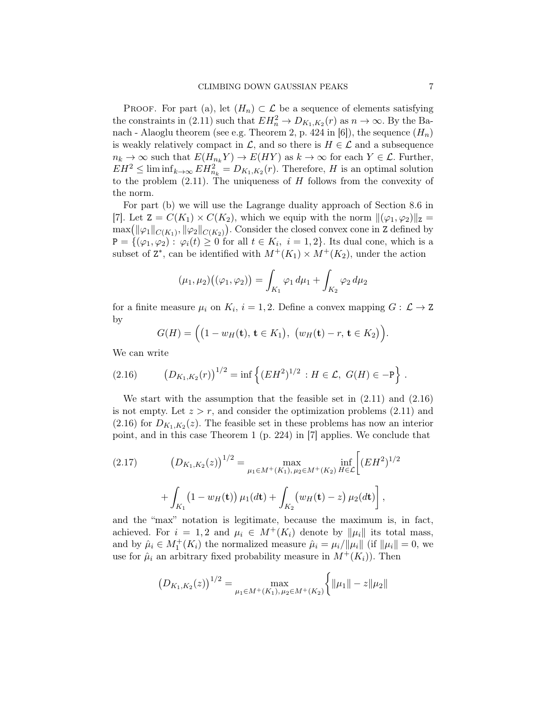PROOF. For part (a), let  $(H_n) \subset \mathcal{L}$  be a sequence of elements satisfying the constraints in [\(2.11\)](#page-4-0) such that  $EH_n^2 \to D_{K_1,K_2}(r)$  as  $n \to \infty$ . By the Ba-nach - Alaoglu theorem (see e.g. Theorem 2, p. 424 in [\[6\]](#page-31-5)), the sequence  $(H_n)$ is weakly relatively compact in  $\mathcal{L}$ , and so there is  $H \in \mathcal{L}$  and a subsequence  $n_k \to \infty$  such that  $E(H_{n_k} Y) \to E(HY)$  as  $k \to \infty$  for each  $Y \in \mathcal{L}$ . Further,  $EH^2 \leq \liminf_{k \to \infty} EH_{n_k}^2 = D_{K_1,K_2}(r)$ . Therefore, H is an optimal solution to the problem  $(2.11)$ . The uniqueness of H follows from the convexity of the norm.

For part (b) we will use the Lagrange duality approach of Section 8.6 in [\[7\]](#page-31-6). Let  $Z = C(K_1) \times C(K_2)$ , which we equip with the norm  $\|(\varphi_1, \varphi_2)\|_Z =$  $\max(\|\varphi_1\|_{C(K_1)}, \|\varphi_2\|_{C(K_2)})$ . Consider the closed convex cone in Z defined by  $P = \{(\varphi_1, \varphi_2) : \varphi_i(t) \geq 0 \text{ for all } t \in K_i, i = 1, 2\}.$  Its dual cone, which is a subset of  $Z^*$ , can be identified with  $M^+(K_1) \times M^+(K_2)$ , under the action

$$
(\mu_1, \mu_2)((\varphi_1, \varphi_2)) = \int_{K_1} \varphi_1 d\mu_1 + \int_{K_2} \varphi_2 d\mu_2
$$

for a finite measure  $\mu_i$  on  $K_i$ ,  $i = 1, 2$ . Define a convex mapping  $G: \mathcal{L} \to \mathbb{Z}$ by

<span id="page-6-0"></span>
$$
G(H) = ((1 - w_H(\mathbf{t}), \mathbf{t} \in K_1), (w_H(\mathbf{t}) - r, \mathbf{t} \in K_2)).
$$

We can write

(2.16) 
$$
\left(D_{K_1,K_2}(r)\right)^{1/2} = \inf \left\{ (EH^2)^{1/2} : H \in \mathcal{L}, G(H) \in -\mathbb{P} \right\}.
$$

We start with the assumption that the feasible set in  $(2.11)$  and  $(2.16)$ is not empty. Let  $z > r$ , and consider the optimization problems [\(2.11\)](#page-4-0) and  $(2.16)$  for  $D_{K_1,K_2}(z)$ . The feasible set in these problems has now an interior point, and in this case Theorem 1 (p. 224) in [\[7\]](#page-31-6) applies. We conclude that

<span id="page-6-1"></span>(2.17) 
$$
(D_{K_1,K_2}(z))^{1/2} = \max_{\mu_1 \in M^+(K_1), \mu_2 \in M^+(K_2)} \inf_{H \in \mathcal{L}} \left[ (EH^2)^{1/2} + \int_{K_1} (1 - w_H(\mathbf{t})) \mu_1(d\mathbf{t}) + \int_{K_2} (w_H(\mathbf{t}) - z) \mu_2(d\mathbf{t}) \right],
$$

and the "max" notation is legitimate, because the maximum is, in fact, achieved. For  $i = 1, 2$  and  $\mu_i \in M^+(K_i)$  denote by  $\|\mu_i\|$  its total mass, and by  $\hat{\mu}_i \in M_1^+(K_i)$  the normalized measure  $\hat{\mu}_i = \mu_i / \|\mu_i\|$  (if  $\|\mu_i\| = 0$ , we use for  $\hat{\mu}_i$  an arbitrary fixed probability measure in  $M^+(K_i)$ ). Then

$$
(D_{K_1,K_2}(z))^{1/2} = \max_{\mu_1 \in M^+(K_1), \mu_2 \in M^+(K_2)} \left\{ \|\mu_1\| - z \|\mu_2\| \right\}
$$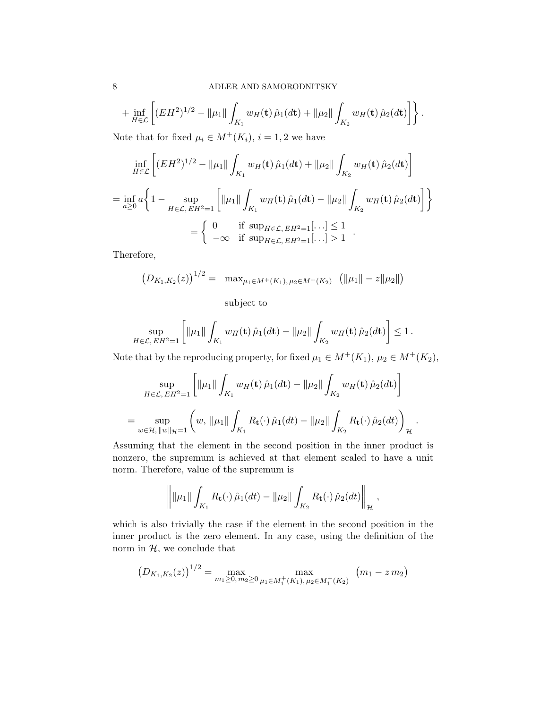$$
+\inf_{H\in\mathcal{L}}\left[ (EH^2)^{1/2} - \|\mu_1\| \int_{K_1} w_H(\mathbf{t}) \,\hat{\mu}_1(d\mathbf{t}) + \|\mu_2\| \int_{K_2} w_H(\mathbf{t}) \,\hat{\mu}_2(d\mathbf{t}) \right] \right\}.
$$

Note that for fixed  $\mu_i \in M^+(K_i)$ ,  $i = 1, 2$  we have

$$
\inf_{H \in \mathcal{L}} \left[ (EH^2)^{1/2} - \|\mu_1\| \int_{K_1} w_H(\mathbf{t}) \hat{\mu}_1(d\mathbf{t}) + \|\mu_2\| \int_{K_2} w_H(\mathbf{t}) \hat{\mu}_2(d\mathbf{t}) \right]
$$
\n
$$
= \inf_{a \ge 0} a \left\{ 1 - \sup_{H \in \mathcal{L}, EH^2 = 1} \left[ \|\mu_1\| \int_{K_1} w_H(\mathbf{t}) \hat{\mu}_1(d\mathbf{t}) - \|\mu_2\| \int_{K_2} w_H(\mathbf{t}) \hat{\mu}_2(d\mathbf{t}) \right] \right\}
$$
\n
$$
= \left\{ \begin{array}{ll} 0 & \text{if } \sup_{H \in \mathcal{L}, EH^2 = 1} [\cdots] \le 1 \\ -\infty & \text{if } \sup_{H \in \mathcal{L}, EH^2 = 1} [\cdots] > 1 \end{array} .
$$

Therefore,

$$
(D_{K_1,K_2}(z))^{1/2} = \max_{\mu_1 \in M^+(K_1), \mu_2 \in M^+(K_2)} (\|\mu_1\| - z\|\mu_2\|)
$$

subject to

$$
\sup_{H\in\mathcal{L},\,EH^2=1}\left[\|\mu_1\|\int_{K_1}w_H(\mathbf{t})\,\hat{\mu}_1(d\mathbf{t})-\|\mu_2\|\int_{K_2}w_H(\mathbf{t})\,\hat{\mu}_2(d\mathbf{t})\right]\leq 1\,.
$$

Note that by the reproducing property, for fixed  $\mu_1 \in M^+(K_1)$ ,  $\mu_2 \in M^+(K_2)$ ,

$$
\sup_{H \in \mathcal{L}, E H^2 = 1} \left[ \|\mu_1\| \int_{K_1} w_H(\mathbf{t}) \hat{\mu}_1(d\mathbf{t}) - \|\mu_2\| \int_{K_2} w_H(\mathbf{t}) \hat{\mu}_2(d\mathbf{t}) \right]
$$
  
= 
$$
\sup_{w \in \mathcal{H}, ||w||_{\mathcal{H}} = 1} \left( w, \|\mu_1\| \int_{K_1} R_{\mathbf{t}}(\cdot) \hat{\mu}_1(d\mathbf{t}) - \|\mu_2\| \int_{K_2} R_{\mathbf{t}}(\cdot) \hat{\mu}_2(d\mathbf{t}) \right)_{\mathcal{H}}.
$$

Assuming that the element in the second position in the inner product is nonzero, the supremum is achieved at that element scaled to have a unit norm. Therefore, value of the supremum is

$$
\left\| \|\mu_1\| \int_{K_1} R_{\mathbf{t}}(\cdot) \hat{\mu}_1(dt) - \|\mu_2\| \int_{K_2} R_{\mathbf{t}}(\cdot) \hat{\mu}_2(dt) \right\|_{\mathcal{H}},
$$

which is also trivially the case if the element in the second position in the inner product is the zero element. In any case, using the definition of the norm in  $H$ , we conclude that

$$
(D_{K_1,K_2}(z))^{1/2} = \max_{m_1 \ge 0, m_2 \ge 0} \max_{\mu_1 \in M_1^+(K_1), \mu_2 \in M_1^+(K_2)} (m_1 - z m_2)
$$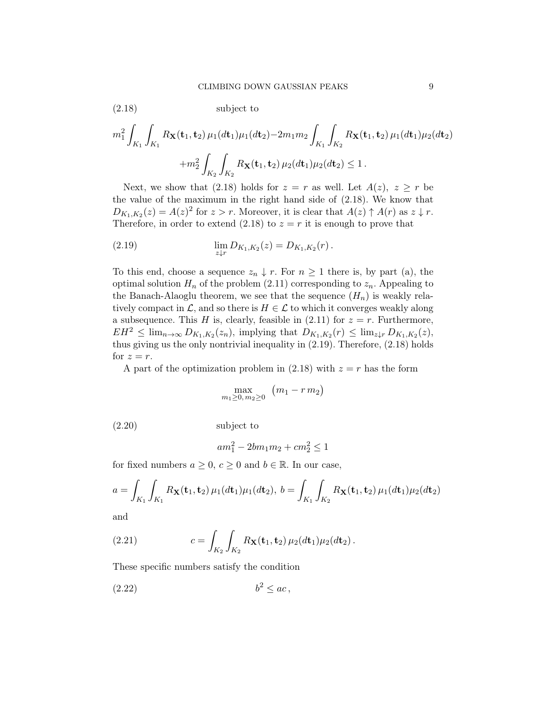$$
m_1^2 \int_{K_1} \int_{K_1} R_{\mathbf{X}}(\mathbf{t}_1, \mathbf{t}_2) \, \mu_1(d\mathbf{t}_1) \mu_1(d\mathbf{t}_2) - 2m_1 m_2 \int_{K_1} \int_{K_2} R_{\mathbf{X}}(\mathbf{t}_1, \mathbf{t}_2) \, \mu_1(d\mathbf{t}_1) \mu_2(d\mathbf{t}_2) + m_2^2 \int_{K_2} \int_{K_2} R_{\mathbf{X}}(\mathbf{t}_1, \mathbf{t}_2) \, \mu_2(d\mathbf{t}_1) \mu_2(d\mathbf{t}_2) \le 1.
$$

Next, we show that [\(2.18\)](#page-8-0) holds for  $z = r$  as well. Let  $A(z)$ ,  $z \geq r$  be the value of the maximum in the right hand side of [\(2.18\)](#page-8-0). We know that  $D_{K_1,K_2}(z) = A(z)^2$  for  $z > r$ . Moreover, it is clear that  $A(z) \uparrow A(r)$  as  $z \downarrow r$ . Therefore, in order to extend [\(2.18\)](#page-8-0) to  $z = r$  it is enough to prove that

<span id="page-8-1"></span>(2.19) 
$$
\lim_{z \downarrow r} D_{K_1, K_2}(z) = D_{K_1, K_2}(r).
$$

<span id="page-8-0"></span>(2.18) subject to

To this end, choose a sequence  $z_n \downarrow r$ . For  $n \geq 1$  there is, by part (a), the optimal solution  $H_n$  of the problem [\(2.11\)](#page-4-0) corresponding to  $z_n$ . Appealing to the Banach-Alaoglu theorem, we see that the sequence  $(H_n)$  is weakly relatively compact in  $\mathcal{L}$ , and so there is  $H \in \mathcal{L}$  to which it converges weakly along a subsequence. This H is, clearly, feasible in  $(2.11)$  for  $z = r$ . Furthermore,  $EH^2 \leq \lim_{n\to\infty} D_{K_1,K_2}(z_n)$ , implying that  $D_{K_1,K_2}(r) \leq \lim_{z\downarrow r} D_{K_1,K_2}(z)$ , thus giving us the only nontrivial inequality in [\(2.19\)](#page-8-1). Therefore, [\(2.18\)](#page-8-0) holds for  $z = r$ .

A part of the optimization problem in [\(2.18\)](#page-8-0) with  $z = r$  has the form

<span id="page-8-2"></span>
$$
\max_{m_1\geq 0, m_2\geq 0} \left( m_1 - r m_2 \right)
$$

(2.20) subject to

$$
am_1^2 - 2bm_1m_2 + cm_2^2 \le 1
$$

for fixed numbers  $a \geq 0$ ,  $c \geq 0$  and  $b \in \mathbb{R}$ . In our case,

$$
a = \int_{K_1} \int_{K_1} R_{\mathbf{X}}(\mathbf{t}_1, \mathbf{t}_2) \, \mu_1(d\mathbf{t}_1) \mu_1(d\mathbf{t}_2), \, b = \int_{K_1} \int_{K_2} R_{\mathbf{X}}(\mathbf{t}_1, \mathbf{t}_2) \, \mu_1(d\mathbf{t}_1) \mu_2(d\mathbf{t}_2)
$$

and

(2.21) 
$$
c = \int_{K_2} \int_{K_2} R_{\mathbf{X}}(\mathbf{t}_1, \mathbf{t}_2) \, \mu_2(d\mathbf{t}_1) \mu_2(d\mathbf{t}_2).
$$

These specific numbers satisfy the condition

<span id="page-8-3"></span>
$$
(2.22) \t\t b^2 \le ac,
$$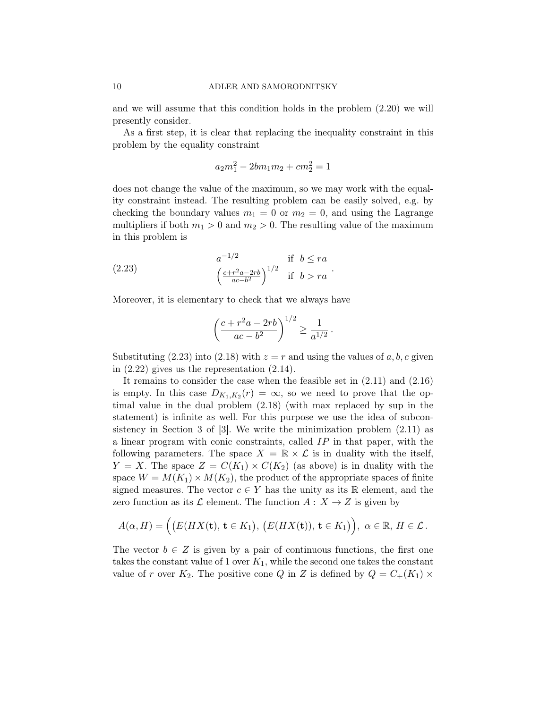and we will assume that this condition holds in the problem [\(2.20\)](#page-8-2) we will presently consider.

As a first step, it is clear that replacing the inequality constraint in this problem by the equality constraint

$$
a_2m_1^2 - 2bm_1m_2 + cm_2^2 = 1
$$

does not change the value of the maximum, so we may work with the equality constraint instead. The resulting problem can be easily solved, e.g. by checking the boundary values  $m_1 = 0$  or  $m_2 = 0$ , and using the Lagrange multipliers if both  $m_1 > 0$  and  $m_2 > 0$ . The resulting value of the maximum in this problem is

(2.23) 
$$
a^{-1/2} \text{ if } b \leq ra
$$

$$
\left(\frac{c+r^2a-2rb}{ac-b^2}\right)^{1/2} \text{ if } b > ra
$$

Moreover, it is elementary to check that we always have

<span id="page-9-0"></span>
$$
\left(\frac{c + r^2 a - 2rb}{ac - b^2}\right)^{1/2} \ge \frac{1}{a^{1/2}}.
$$

Substituting [\(2.23\)](#page-9-0) into [\(2.18\)](#page-8-0) with  $z = r$  and using the values of a, b, c given in  $(2.22)$  gives us the representation  $(2.14)$ .

It remains to consider the case when the feasible set in [\(2.11\)](#page-4-0) and [\(2.16\)](#page-6-0) is empty. In this case  $D_{K_1,K_2}(r) = \infty$ , so we need to prove that the optimal value in the dual problem [\(2.18\)](#page-8-0) (with max replaced by sup in the statement) is infinite as well. For this purpose we use the idea of subconsistency in Section 3 of  $[3]$ . We write the minimization problem  $(2.11)$  as a linear program with conic constraints, called IP in that paper, with the following parameters. The space  $X = \mathbb{R} \times \mathcal{L}$  is in duality with the itself,  $Y = X$ . The space  $Z = C(K_1) \times C(K_2)$  (as above) is in duality with the space  $W = M(K_1) \times M(K_2)$ , the product of the appropriate spaces of finite signed measures. The vector  $c \in Y$  has the unity as its R element, and the zero function as its  $\mathcal L$  element. The function  $A: X \to Z$  is given by

$$
A(\alpha, H) = \Big(\big(E(HX(\mathbf{t}), \mathbf{t} \in K_1), \big(E(HX(\mathbf{t})), \mathbf{t} \in K_1\big)\Big), \alpha \in \mathbb{R}, H \in \mathcal{L}.
$$

The vector  $b \in Z$  is given by a pair of continuous functions, the first one takes the constant value of 1 over  $K_1$ , while the second one takes the constant value of r over  $K_2$ . The positive cone Q in Z is defined by  $Q = C_+(K_1) \times$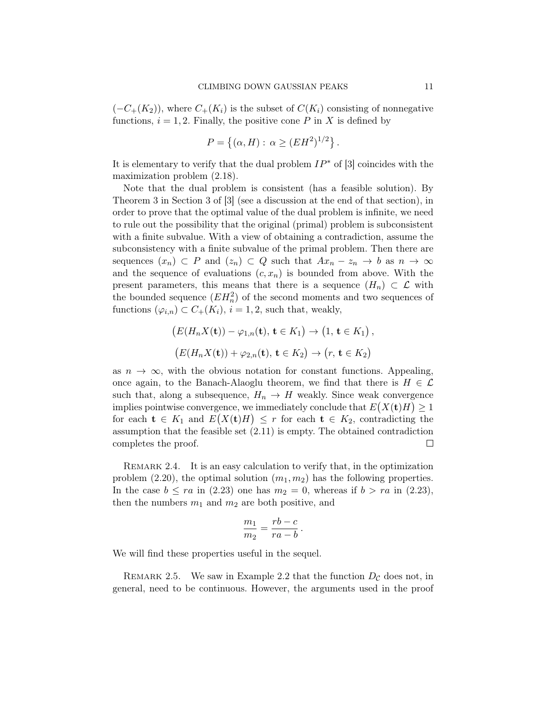$(-C_{+}(K_2))$ , where  $C_{+}(K_i)$  is the subset of  $C(K_i)$  consisting of nonnegative functions,  $i = 1, 2$ . Finally, the positive cone P in X is defined by

$$
P = \{ (\alpha, H) : \alpha \ge (EH^2)^{1/2} \}.
$$

It is elementary to verify that the dual problem  $IP^*$  of [\[3\]](#page-31-7) coincides with the maximization problem [\(2.18\)](#page-8-0).

Note that the dual problem is consistent (has a feasible solution). By Theorem 3 in Section 3 of [\[3\]](#page-31-7) (see a discussion at the end of that section), in order to prove that the optimal value of the dual problem is infinite, we need to rule out the possibility that the original (primal) problem is subconsistent with a finite subvalue. With a view of obtaining a contradiction, assume the subconsistency with a finite subvalue of the primal problem. Then there are sequences  $(x_n) \subset P$  and  $(z_n) \subset Q$  such that  $Ax_n - z_n \to b$  as  $n \to \infty$ and the sequence of evaluations  $(c, x_n)$  is bounded from above. With the present parameters, this means that there is a sequence  $(H_n) \subset \mathcal{L}$  with the bounded sequence  $(EH_n^2)$  of the second moments and two sequences of functions  $(\varphi_{i,n}) \subset C_+(K_i)$ ,  $i = 1, 2$ , such that, weakly,

$$
(E(H_nX(\mathbf{t})) - \varphi_{1,n}(\mathbf{t}), \mathbf{t} \in K_1) \to (1, \mathbf{t} \in K_1),
$$
  

$$
(E(H_nX(\mathbf{t})) + \varphi_{2,n}(\mathbf{t}), \mathbf{t} \in K_2) \to (r, \mathbf{t} \in K_2)
$$

as  $n \to \infty$ , with the obvious notation for constant functions. Appealing, once again, to the Banach-Alaoglu theorem, we find that there is  $H \in \mathcal{L}$ such that, along a subsequence,  $H_n \to H$  weakly. Since weak convergence implies pointwise convergence, we immediately conclude that  $E(X(t)H) \geq 1$ for each  $\mathbf{t} \in K_1$  and  $E(X(\mathbf{t})H) \leq r$  for each  $\mathbf{t} \in K_2$ , contradicting the assumption that the feasible set [\(2.11\)](#page-4-0) is empty. The obtained contradiction completes the proof.  $\Box$ 

<span id="page-10-1"></span>REMARK 2.4. It is an easy calculation to verify that, in the optimization problem [\(2.20\)](#page-8-2), the optimal solution  $(m_1, m_2)$  has the following properties. In the case  $b \le ra$  in [\(2.23\)](#page-9-0) one has  $m_2 = 0$ , whereas if  $b > ra$  in (2.23), then the numbers  $m_1$  and  $m_2$  are both positive, and

$$
\frac{m_1}{m_2} = \frac{rb - c}{ra - b}.
$$

We will find these properties useful in the sequel.

<span id="page-10-0"></span>REMARK 2.5. We saw in Example [2.2](#page-4-1) that the function  $D_{\mathcal{C}}$  does not, in general, need to be continuous. However, the arguments used in the proof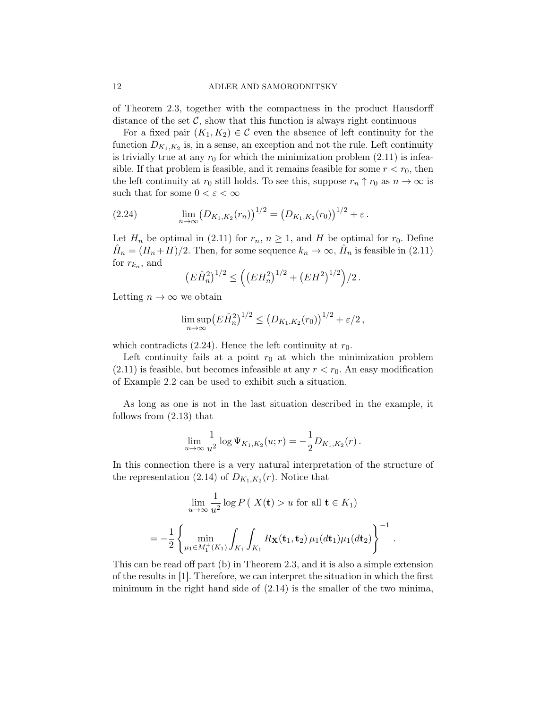of Theorem [2.3,](#page-5-2) together with the compactness in the product Hausdorff distance of the set  $\mathcal{C}$ , show that this function is always right continuous

For a fixed pair  $(K_1, K_2) \in \mathcal{C}$  even the absence of left continuity for the function  $D_{K_1,K_2}$  is, in a sense, an exception and not the rule. Left continuity is trivially true at any  $r_0$  for which the minimization problem  $(2.11)$  is infeasible. If that problem is feasible, and it remains feasible for some  $r < r_0$ , then the left continuity at  $r_0$  still holds. To see this, suppose  $r_n \uparrow r_0$  as  $n \to \infty$  is such that for some  $0 < \varepsilon < \infty$ 

<span id="page-11-0"></span>(2.24) 
$$
\lim_{n \to \infty} (D_{K_1, K_2}(r_n))^{1/2} = (D_{K_1, K_2}(r_0))^{1/2} + \varepsilon.
$$

Let  $H_n$  be optimal in [\(2.11\)](#page-4-0) for  $r_n$ ,  $n \geq 1$ , and H be optimal for  $r_0$ . Define  $\hat{H}_n = (H_n + H)/2$ . Then, for some sequence  $k_n \to \infty$ ,  $\hat{H}_n$  is feasible in [\(2.11\)](#page-4-0) for  $r_{k_n}$ , and

$$
(E\hat{H}_n^2)^{1/2} \le \left( \left( EH_n^2 \right)^{1/2} + \left( EH^2 \right)^{1/2} \right) / 2 \, .
$$

Letting  $n \to \infty$  we obtain

$$
\limsup_{n\to\infty} (E\hat{H}_n^2)^{1/2} \le (D_{K_1,K_2}(r_0))^{1/2} + \varepsilon/2,
$$

which contradicts  $(2.24)$ . Hence the left continuity at  $r_0$ .

Left continuity fails at a point  $r_0$  at which the minimization problem  $(2.11)$  is feasible, but becomes infeasible at any  $r < r_0$ . An easy modification of Example [2.2](#page-4-1) can be used to exhibit such a situation.

As long as one is not in the last situation described in the example, it follows from [\(2.13\)](#page-4-2) that

$$
\lim_{u \to \infty} \frac{1}{u^2} \log \Psi_{K_1, K_2}(u; r) = -\frac{1}{2} D_{K_1, K_2}(r) .
$$

In this connection there is a very natural interpretation of the structure of the representation [\(2.14\)](#page-5-1) of  $D_{K_1,K_2}(r)$ . Notice that

$$
\lim_{u \to \infty} \frac{1}{u^2} \log P\left(X(\mathbf{t}) > u \text{ for all } \mathbf{t} \in K_1\right)
$$

$$
= -\frac{1}{2} \left\{ \min_{\mu_1 \in M_1^+(K_1)} \int_{K_1} \int_{K_1} R_{\mathbf{X}}(\mathbf{t}_1, \mathbf{t}_2) \mu_1(d\mathbf{t}_1) \mu_1(d\mathbf{t}_2) \right\}^{-1}.
$$

This can be read off part (b) in Theorem [2.3,](#page-5-2) and it is also a simple extension of the results in [\[1\]](#page-31-2). Therefore, we can interpret the situation in which the first minimum in the right hand side of  $(2.14)$  is the smaller of the two minima,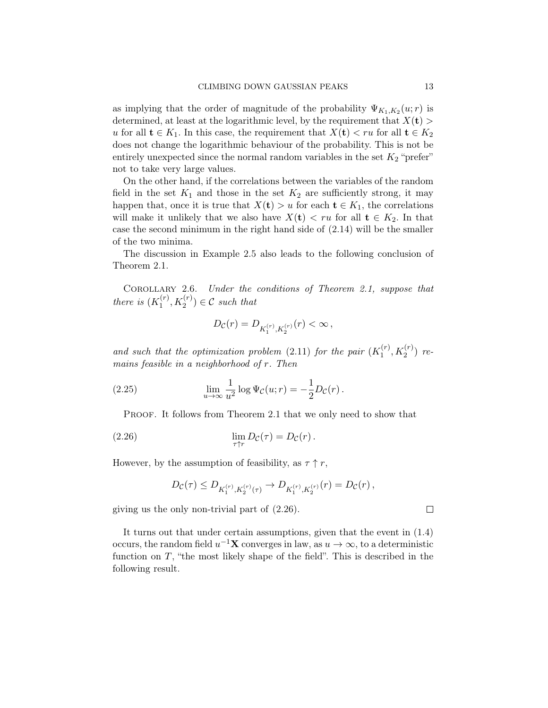as implying that the order of magnitude of the probability  $\Psi_{K_1,K_2}(u; r)$  is determined, at least at the logarithmic level, by the requirement that  $X(\mathbf{t}) >$ u for all  $t \in K_1$ . In this case, the requirement that  $X(t) < ru$  for all  $t \in K_2$ does not change the logarithmic behaviour of the probability. This is not be entirely unexpected since the normal random variables in the set  $K_2$  "prefer" not to take very large values.

On the other hand, if the correlations between the variables of the random field in the set  $K_1$  and those in the set  $K_2$  are sufficiently strong, it may happen that, once it is true that  $X(t) > u$  for each  $t \in K_1$ , the correlations will make it unlikely that we also have  $X(t) < ru$  for all  $t \in K_2$ . In that case the second minimum in the right hand side of [\(2.14\)](#page-5-1) will be the smaller of the two minima.

The discussion in Example [2.5](#page-10-0) also leads to the following conclusion of Theorem [2.1.](#page-2-1)

COROLLARY 2.6. Under the conditions of Theorem [2.1,](#page-2-1) suppose that there is  $(K_1^{(r)}$  $\binom{n}{1}, K_2^{(r)} \in \mathcal{C}$  such that

$$
D_{\mathcal{C}}(r)=D_{K_{1}^{(r)},K_{2}^{(r)}}(r)<\infty\,,
$$

and such that the optimization problem [\(2.11\)](#page-4-0) for the pair  $(K_1^{(r)})$  $T_1^{(r)}, K_2^{(r)}$ ) remains feasible in a neighborhood of r. Then

(2.25) 
$$
\lim_{u \to \infty} \frac{1}{u^2} \log \Psi_{\mathcal{C}}(u; r) = -\frac{1}{2} D_{\mathcal{C}}(r) .
$$

PROOF. It follows from Theorem [2.1](#page-2-1) that we only need to show that

(2.26) 
$$
\lim_{\tau \uparrow r} D_{\mathcal{C}}(\tau) = D_{\mathcal{C}}(r).
$$

However, by the assumption of feasibility, as  $\tau \uparrow r$ ,

<span id="page-12-0"></span>
$$
D_{\mathcal{C}}(\tau) \leq D_{K_1^{(r)}, K_2^{(r)}(\tau)} \to D_{K_1^{(r)}, K_2^{(r)}}(r) = D_{\mathcal{C}}(r) ,
$$

giving us the only non-trivial part of [\(2.26\)](#page-12-0).

It turns out that under certain assumptions, given that the event in [\(1.4\)](#page-1-2) occurs, the random field  $u^{-1}X$  converges in law, as  $u \to \infty$ , to a deterministic function on  $T$ , "the most likely shape of the field". This is described in the following result.

 $\Box$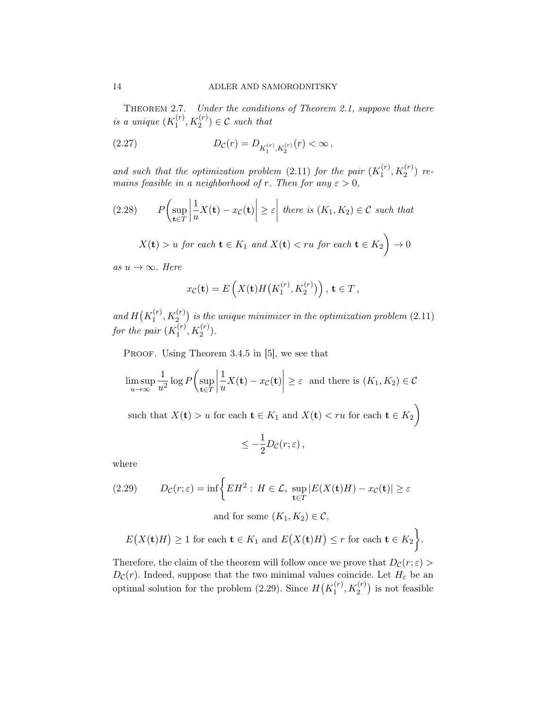<span id="page-13-2"></span>Theorem 2.7. Under the conditions of Theorem [2.1,](#page-2-1) suppose that there is a unique  $(K_1^{(r)}$  $\binom{n}{1}, K_2^{(r)} \in \mathcal{C}$  such that

<span id="page-13-1"></span>(2.27) 
$$
D_{\mathcal{C}}(r) = D_{K_1^{(r)}, K_2^{(r)}}(r) < \infty
$$

and such that the optimization problem [\(2.11\)](#page-4-0) for the pair  $(K_1^{(r)})$  $T_1^{(r)}, K_2^{(r)}$ ) remains feasible in a neighborhood of r. Then for any  $\varepsilon > 0$ ,

(2.28) 
$$
P\left(\sup_{\mathbf{t}\in T} \left|\frac{1}{u}X(\mathbf{t}) - x_{\mathcal{C}}(\mathbf{t})\right| \geq \varepsilon \middle| \text{ there is } (K_1, K_2) \in \mathcal{C} \text{ such that}
$$

$$
X(\mathbf{t}) > u \text{ for each } \mathbf{t} \in K_1 \text{ and } X(\mathbf{t}) < ru \text{ for each } \mathbf{t} \in K_2 \bigg) \to 0
$$

as  $u \to \infty$ . Here

$$
x_{\mathcal{C}}(\mathbf{t}) = E\left(X(\mathbf{t})H\big(K_1^{(r)}, K_2^{(r)}\big)\right), \, \mathbf{t} \in T\,,
$$

and  $H(K_1^{(r)}$  $\mathcal{H}_1^{(r)},\mathcal{K}_2^{(r)}$  is the unique minimizer in the optimization problem [\(2.11\)](#page-4-0) for the pair  $(K_1^{(r)}$  $X_1^{(r)}, K_2^{(r)}$ ).

PROOF. Using Theorem 3.4.5 in [\[5\]](#page-31-4), we see that

$$
\limsup_{u \to \infty} \frac{1}{u^2} \log P\left(\sup_{\mathbf{t} \in T} \left| \frac{1}{u} X(\mathbf{t}) - x_{\mathcal{C}}(\mathbf{t}) \right| \ge \varepsilon \text{ and there is } (K_1, K_2) \in \mathcal{C}
$$

such that  $X(\mathbf{t}) > u$  for each  $\mathbf{t} \in K_1$  and  $X(\mathbf{t}) < ru$  for each  $\mathbf{t} \in K_2$ 

$$
\leq -\frac{1}{2}D_{\mathcal{C}}(r;\varepsilon)\,,
$$

where

<span id="page-13-0"></span>(2.29) 
$$
D_{\mathcal{C}}(r;\varepsilon) = \inf \left\{ EH^2 : H \in \mathcal{L}, \sup_{\mathbf{t} \in T} |E(X(\mathbf{t})H) - x_{\mathcal{C}}(\mathbf{t})| \ge \varepsilon \right\}
$$

and for some  $(K_1, K_2) \in \mathcal{C}$ ,

$$
E(X(t)H) \ge 1 \text{ for each } t \in K_1 \text{ and } E(X(t)H) \le r \text{ for each } t \in K_2 \bigg\}.
$$

 $\overline{\phantom{0}}$ 

Therefore, the claim of the theorem will follow once we prove that  $D_{\mathcal{C}}(r; \varepsilon)$  $D_{\mathcal{C}}(r)$ . Indeed, suppose that the two minimal values coincide. Let  $H_{\varepsilon}$  be an optimal solution for the problem [\(2.29\)](#page-13-0). Since  $H(K_1^{(r)})$  $\binom{r}{1}, K_2^{(r)}$  is not feasible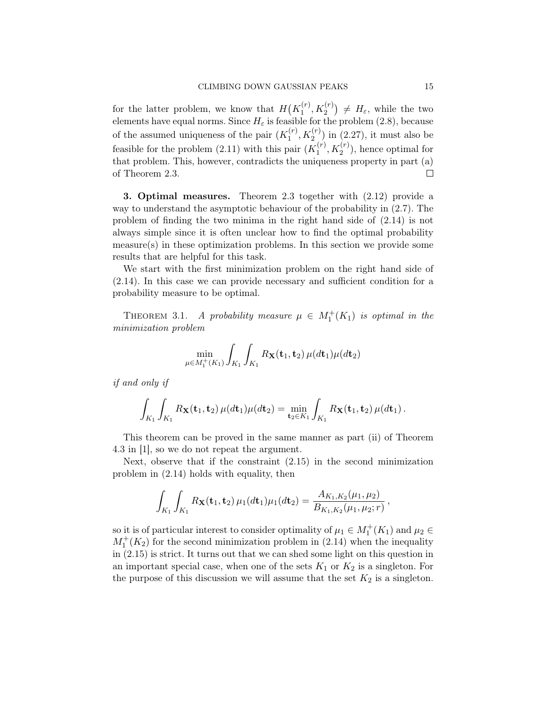for the latter problem, we know that  $H(K_1^{(r)})$  $H_1^{(r)}$ ,  $K_2^{(r)}$   $\neq H_{\varepsilon}$ , while the two elements have equal norms. Since  $H_{\varepsilon}$  is feasible for the problem [\(2.8\)](#page-3-2), because of the assumed uniqueness of the pair  $(K_1^{(r)})$  $\binom{(r)}{1}, K_2^{(r)}$  in  $(2.27)$ , it must also be feasible for the problem [\(2.11\)](#page-4-0) with this pair  $(K_1^{(r)})$  $1<sub>1</sub><sup>(r)</sup>, K<sub>2</sub><sup>(r)</sup>$ , hence optimal for that problem. This, however, contradicts the uniqueness property in part (a) of Theorem [2.3.](#page-5-2)  $\Box$ 

<span id="page-14-0"></span>3. Optimal measures. Theorem [2.3](#page-5-2) together with [\(2.12\)](#page-4-3) provide a way to understand the asymptotic behaviour of the probability in [\(2.7\)](#page-3-1). The problem of finding the two minima in the right hand side of [\(2.14\)](#page-5-1) is not always simple since it is often unclear how to find the optimal probability measure(s) in these optimization problems. In this section we provide some results that are helpful for this task.

We start with the first minimization problem on the right hand side of [\(2.14\)](#page-5-1). In this case we can provide necessary and sufficient condition for a probability measure to be optimal.

<span id="page-14-1"></span>THEOREM 3.1. A probability measure  $\mu \in M_1^+(K_1)$  is optimal in the minimization problem

$$
\min_{\mu \in M_1^+(K_1)} \int_{K_1} \int_{K_1} R_{\mathbf{X}}(\mathbf{t}_1, \mathbf{t}_2) \, \mu(d\mathbf{t}_1) \mu(d\mathbf{t}_2)
$$

if and only if

$$
\int_{K_1} \int_{K_1} R_{\mathbf{X}}(\mathbf{t}_1, \mathbf{t}_2) \, \mu(d\mathbf{t}_1) \mu(d\mathbf{t}_2) = \min_{\mathbf{t}_2 \in K_1} \int_{K_1} R_{\mathbf{X}}(\mathbf{t}_1, \mathbf{t}_2) \, \mu(d\mathbf{t}_1) \, .
$$

This theorem can be proved in the same manner as part (ii) of Theorem 4.3 in [\[1\]](#page-31-2), so we do not repeat the argument.

Next, observe that if the constraint [\(2.15\)](#page-5-0) in the second minimization problem in [\(2.14\)](#page-5-1) holds with equality, then

$$
\int_{K_1} \int_{K_1} R_{\mathbf{X}}(\mathbf{t}_1, \mathbf{t}_2) \,\mu_1(d\mathbf{t}_1)\mu_1(d\mathbf{t}_2) = \frac{A_{K_1, K_2}(\mu_1, \mu_2)}{B_{K_1, K_2}(\mu_1, \mu_2; r)},
$$

so it is of particular interest to consider optimality of  $\mu_1 \in M_1^+(K_1)$  and  $\mu_2 \in$  $M_1^+(K_2)$  for the second minimization problem in [\(2.14\)](#page-5-1) when the inequality in [\(2.15\)](#page-5-0) is strict. It turns out that we can shed some light on this question in an important special case, when one of the sets  $K_1$  or  $K_2$  is a singleton. For the purpose of this discussion we will assume that the set  $K_2$  is a singleton.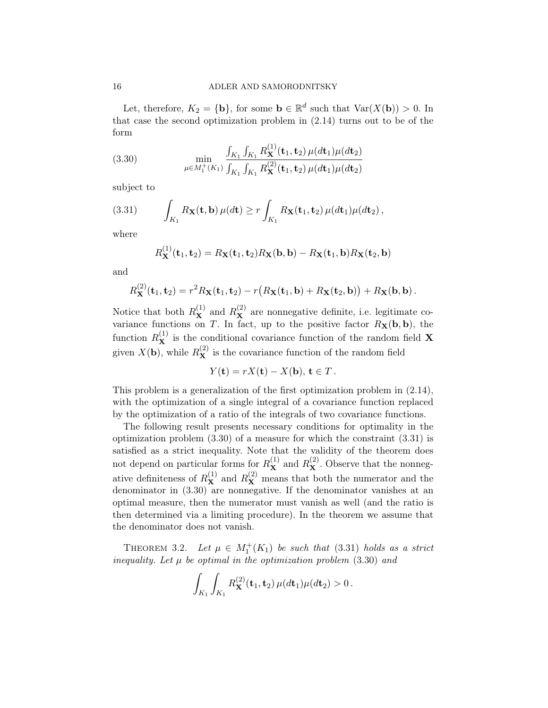Let, therefore,  $K_2 = {\bf{b}}$ , for some  $\mathbf{b} \in \mathbb{R}^d$  such that  $\text{Var}(X(\mathbf{b})) > 0$ . In that case the second optimization problem in [\(2.14\)](#page-5-1) turns out to be of the form

<span id="page-15-0"></span>(3.30) 
$$
\min_{\mu \in M_1^+(K_1)} \frac{\int_{K_1} \int_{K_1} R_{\mathbf{X}}^{(1)}(\mathbf{t}_1, \mathbf{t}_2) \mu(d\mathbf{t}_1) \mu(d\mathbf{t}_2)}{\int_{K_1} \int_{K_1} R_{\mathbf{X}}^{(2)}(\mathbf{t}_1, \mathbf{t}_2) \mu(d\mathbf{t}_1) \mu(d\mathbf{t}_2)}
$$

subject to

(3.31) 
$$
\int_{K_1} R_{\mathbf{X}}(\mathbf{t}, \mathbf{b}) \,\mu(d\mathbf{t}) \ge r \int_{K_1} R_{\mathbf{X}}(\mathbf{t}_1, \mathbf{t}_2) \,\mu(d\mathbf{t}_1) \mu(d\mathbf{t}_2),
$$

where

<span id="page-15-1"></span>
$$
R_{\mathbf{X}}^{(1)}(\mathbf{t}_1, \mathbf{t}_2) = R_{\mathbf{X}}(\mathbf{t}_1, \mathbf{t}_2) R_{\mathbf{X}}(\mathbf{b}, \mathbf{b}) - R_{\mathbf{X}}(\mathbf{t}_1, \mathbf{b}) R_{\mathbf{X}}(\mathbf{t}_2, \mathbf{b})
$$

and

$$
R_{\mathbf{X}}^{(2)}(\mathbf{t}_1,\mathbf{t}_2)=r^2R_{\mathbf{X}}(\mathbf{t}_1,\mathbf{t}_2)-r(R_{\mathbf{X}}(\mathbf{t}_1,\mathbf{b})+R_{\mathbf{X}}(\mathbf{t}_2,\mathbf{b}))+R_{\mathbf{X}}(\mathbf{b},\mathbf{b}).
$$

Notice that both  $R_{\mathbf{X}}^{(1)}$  and  $R_{\mathbf{X}}^{(2)}$  are nonnegative definite, i.e. legitimate covariance functions on T. In fact, up to the positive factor  $R_X(b, b)$ , the function  $R_{\mathbf{X}}^{(1)}$  is the conditional covariance function of the random field **X** given  $X(\mathbf{b})$ , while  $R_{\mathbf{X}}^{(2)}$  is the covariance function of the random field

$$
Y(\mathbf{t}) = rX(\mathbf{t}) - X(\mathbf{b}), \mathbf{t} \in T.
$$

This problem is a generalization of the first optimization problem in [\(2.14\)](#page-5-1), with the optimization of a single integral of a covariance function replaced by the optimization of a ratio of the integrals of two covariance functions.

The following result presents necessary conditions for optimality in the optimization problem [\(3.30\)](#page-15-0) of a measure for which the constraint [\(3.31\)](#page-15-1) is satisfied as a strict inequality. Note that the validity of the theorem does not depend on particular forms for  $R_{\mathbf{X}}^{(1)}$  and  $R_{\mathbf{X}}^{(2)}$ . Observe that the nonnegative definiteness of  $R_{\mathbf{X}}^{(1)}$  and  $R_{\mathbf{X}}^{(2)}$  means that both the numerator and the denominator in [\(3.30\)](#page-15-0) are nonnegative. If the denominator vanishes at an optimal measure, then the numerator must vanish as well (and the ratio is then determined via a limiting procedure). In the theorem we assume that the denominator does not vanish.

<span id="page-15-2"></span>THEOREM 3.2. Let  $\mu \in M_1^+(K_1)$  be such that [\(3.31\)](#page-15-1) holds as a strict inequality. Let  $\mu$  be optimal in the optimization problem  $(3.30)$  and

$$
\int_{K_1} \int_{K_1} R_{\mathbf{X}}^{(2)}(\mathbf{t}_1, \mathbf{t}_2) \, \mu(d\mathbf{t}_1) \mu(d\mathbf{t}_2) > 0 \, .
$$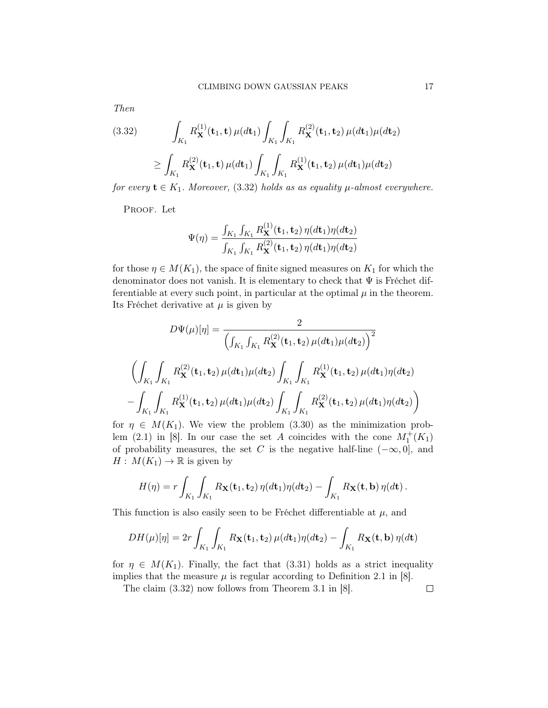Then

<span id="page-16-0"></span>(3.32) 
$$
\int_{K_1} R_{\mathbf{X}}^{(1)}(\mathbf{t}_1, \mathbf{t}) \, \mu(d\mathbf{t}_1) \int_{K_1} \int_{K_1} R_{\mathbf{X}}^{(2)}(\mathbf{t}_1, \mathbf{t}_2) \, \mu(d\mathbf{t}_1) \mu(d\mathbf{t}_2) \, d\xi
$$

$$
\geq \int_{K_1} R_{\mathbf{X}}^{(2)}(\mathbf{t}_1, \mathbf{t}) \, \mu(d\mathbf{t}_1) \int_{K_1} \int_{K_1} R_{\mathbf{X}}^{(1)}(\mathbf{t}_1, \mathbf{t}_2) \, \mu(d\mathbf{t}_1) \mu(d\mathbf{t}_2)
$$

for every  $\mathbf{t} \in K_1$ . Moreover, [\(3.32\)](#page-16-0) holds as as equality  $\mu$ -almost everywhere.

PROOF. Let

$$
\Psi(\eta) = \frac{\int_{K_1} \int_{K_1} R_{\mathbf{X}}^{(1)}(\mathbf{t}_1, \mathbf{t}_2) \eta(d\mathbf{t}_1) \eta(d\mathbf{t}_2)}{\int_{K_1} \int_{K_1} R_{\mathbf{X}}^{(2)}(\mathbf{t}_1, \mathbf{t}_2) \eta(d\mathbf{t}_1) \eta(d\mathbf{t}_2)}
$$

for those  $\eta \in M(K_1)$ , the space of finite signed measures on  $K_1$  for which the denominator does not vanish. It is elementary to check that  $\Psi$  is Fréchet differentiable at every such point, in particular at the optimal  $\mu$  in the theorem. Its Fréchet derivative at  $\mu$  is given by

$$
D\Psi(\mu)[\eta] = \frac{2}{\left(\int_{K_1} \int_{K_1} R_{\mathbf{X}}^{(2)}(\mathbf{t}_1, \mathbf{t}_2) \mu(d\mathbf{t}_1) \mu(d\mathbf{t}_2)\right)^2}
$$

$$
\left(\int_{K_1} \int_{K_1} R_{\mathbf{X}}^{(2)}(\mathbf{t}_1, \mathbf{t}_2) \mu(d\mathbf{t}_1) \mu(d\mathbf{t}_2) \int_{K_1} \int_{K_1} R_{\mathbf{X}}^{(1)}(\mathbf{t}_1, \mathbf{t}_2) \mu(d\mathbf{t}_1) \eta(d\mathbf{t}_2)\right)
$$

$$
-\int_{K_1} \int_{K_1} R_{\mathbf{X}}^{(1)}(\mathbf{t}_1, \mathbf{t}_2) \mu(d\mathbf{t}_1) \mu(d\mathbf{t}_2) \int_{K_1} \int_{K_1} R_{\mathbf{X}}^{(2)}(\mathbf{t}_1, \mathbf{t}_2) \mu(d\mathbf{t}_1) \eta(d\mathbf{t}_2)\right)
$$

for  $\eta \in M(K_1)$ . We view the problem [\(3.30\)](#page-15-0) as the minimization prob-lem (2.1) in [\[8\]](#page-31-8). In our case the set A coincides with the cone  $M_1^+(K_1)$ of probability measures, the set C is the negative half-line  $(-\infty, 0]$ , and  $H: M(K_1) \to \mathbb{R}$  is given by

$$
H(\eta) = r \int_{K_1} \int_{K_1} R_{\mathbf{X}}(\mathbf{t}_1, \mathbf{t}_2) \, \eta(d\mathbf{t}_1) \eta(d\mathbf{t}_2) - \int_{K_1} R_{\mathbf{X}}(\mathbf{t}, \mathbf{b}) \, \eta(d\mathbf{t}).
$$

This function is also easily seen to be Fréchet differentiable at  $\mu$ , and

$$
DH(\mu)[\eta] = 2r \int_{K_1} \int_{K_1} R_{\mathbf{X}}(\mathbf{t}_1, \mathbf{t}_2) \, \mu(d\mathbf{t}_1) \eta(d\mathbf{t}_2) - \int_{K_1} R_{\mathbf{X}}(\mathbf{t}, \mathbf{b}) \, \eta(d\mathbf{t})
$$

for  $\eta \in M(K_1)$ . Finally, the fact that [\(3.31\)](#page-15-1) holds as a strict inequality implies that the measure  $\mu$  is regular according to Definition 2.1 in [\[8\]](#page-31-8).

The claim [\(3.32\)](#page-16-0) now follows from Theorem 3.1 in [\[8\]](#page-31-8).

 $\Box$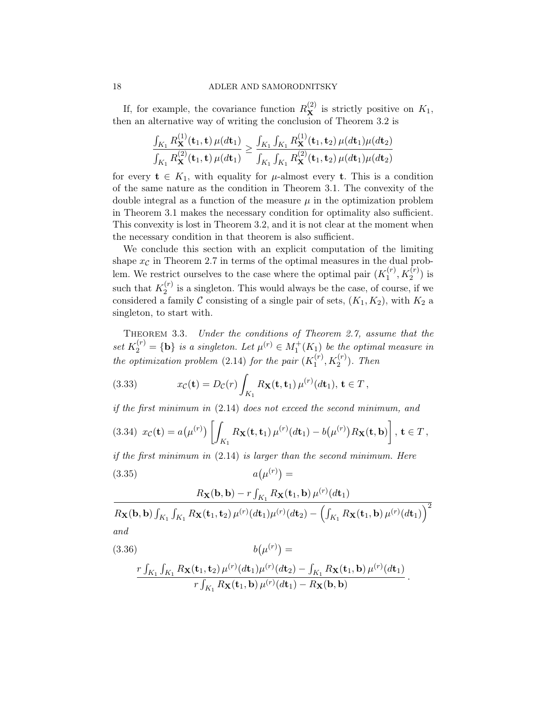If, for example, the covariance function  $R_{\mathbf{X}}^{(2)}$  is strictly positive on  $K_1$ , then an alternative way of writing the conclusion of Theorem [3.2](#page-15-2) is

$$
\frac{\int_{K_1} R_{\mathbf{X}}^{(1)}(\mathbf{t}_1, \mathbf{t}) \,\mu(dt_1)}{\int_{K_1} R_{\mathbf{X}}^{(2)}(\mathbf{t}_1, \mathbf{t}) \,\mu(dt_1)} \ge \frac{\int_{K_1} \int_{K_1} R_{\mathbf{X}}^{(1)}(\mathbf{t}_1, \mathbf{t}_2) \,\mu(dt_1) \mu(dt_2)}{\int_{K_1} \int_{K_1} R_{\mathbf{X}}^{(2)}(\mathbf{t}_1, \mathbf{t}_2) \,\mu(dt_1) \mu(dt_2)}
$$

for every  $t \in K_1$ , with equality for  $\mu$ -almost every t. This is a condition of the same nature as the condition in Theorem [3.1.](#page-14-1) The convexity of the double integral as a function of the measure  $\mu$  in the optimization problem in Theorem [3.1](#page-14-1) makes the necessary condition for optimality also sufficient. This convexity is lost in Theorem [3.2,](#page-15-2) and it is not clear at the moment when the necessary condition in that theorem is also sufficient.

We conclude this section with an explicit computation of the limiting shape  $x_c$  in Theorem [2.7](#page-13-2) in terms of the optimal measures in the dual problem. We restrict ourselves to the case where the optimal pair  $(K_1^{(r)})$  $j_1^{(r)}, K_2^{(r)})$  is such that  $K_2^{(r)}$  $i_2^{(r)}$  is a singleton. This would always be the case, of course, if we considered a family C consisting of a single pair of sets,  $(K_1, K_2)$ , with  $K_2$  a singleton, to start with.

<span id="page-17-0"></span>Theorem 3.3. Under the conditions of Theorem [2.7,](#page-13-2) assume that the set  $K_2^{(r)} = {\bf{b}}$  is a singleton. Let  $\mu^{(r)} \in M_1^+(K_1)$  be the optimal measure in the optimization problem [\(2.14\)](#page-5-1) for the pair  $(K_1^{(r)})$  $I_1^{(r)}, K_2^{(r)}$ ). Then

(3.33) 
$$
x_{\mathcal{C}}(\mathbf{t}) = D_{\mathcal{C}}(r) \int_{K_1} R_{\mathbf{X}}(\mathbf{t}, \mathbf{t}_1) \,\mu^{(r)}(d\mathbf{t}_1), \,\mathbf{t} \in T,
$$

if the first minimum in [\(2.14\)](#page-5-1) does not exceed the second minimum, and

(3.34) 
$$
x_{\mathcal{C}}(\mathbf{t}) = a(\mu^{(r)}) \left[ \int_{K_1} R_{\mathbf{X}}(\mathbf{t}, \mathbf{t}_1) \, \mu^{(r)}(d\mathbf{t}_1) - b(\mu^{(r)}) R_{\mathbf{X}}(\mathbf{t}, \mathbf{b}) \right], \, \mathbf{t} \in T
$$

<span id="page-17-2"></span>if the first minimum in  $(2.14)$  is larger than the second minimum. Here  $(3.35)$  $(\mu^{(r)}) =$ 

$$
\frac{R_{\mathbf{X}}(\mathbf{b},\mathbf{b}) - r \int_{K_1} R_{\mathbf{X}}(\mathbf{t}_1,\mathbf{b}) \mu^{(r)}(d\mathbf{t}_1)}{R_{\mathbf{X}}(\mathbf{b},\mathbf{b}) \int_{K_1} \int_{K_1} R_{\mathbf{X}}(\mathbf{t}_1,\mathbf{t}_2) \mu^{(r)}(d\mathbf{t}_1) \mu^{(r)}(d\mathbf{t}_2) - \left(\int_{K_1} R_{\mathbf{X}}(\mathbf{t}_1,\mathbf{b}) \mu^{(r)}(d\mathbf{t}_1)\right)^2}
$$
  
and

.

<span id="page-17-1"></span>(3.36)  

$$
b(\mu^{(r)}) =
$$

$$
\frac{r \int_{K_1} \int_{K_1} R_{\mathbf{X}}(\mathbf{t}_1, \mathbf{t}_2) \mu^{(r)}(d\mathbf{t}_1) \mu^{(r)}(d\mathbf{t}_2) - \int_{K_1} R_{\mathbf{X}}(\mathbf{t}_1, \mathbf{b}) \mu^{(r)}(d\mathbf{t}_1)}{r \int_{K_1} R_{\mathbf{X}}(\mathbf{t}_1, \mathbf{b}) \mu^{(r)}(d\mathbf{t}_1) - R_{\mathbf{X}}(\mathbf{b}, \mathbf{b})}
$$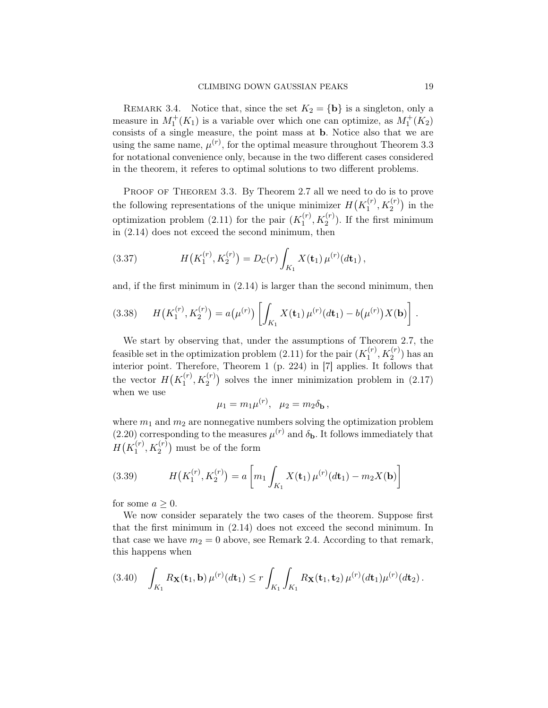REMARK 3.4. Notice that, since the set  $K_2 = {\bf{b}}$  is a singleton, only a measure in  $M_1^+(K_1)$  is a variable over which one can optimize, as  $M_1^+(K_2)$ consists of a single measure, the point mass at b. Notice also that we are using the same name,  $\mu^{(r)}$ , for the optimal measure throughout Theorem [3.3](#page-17-0) for notational convenience only, because in the two different cases considered in the theorem, it referes to optimal solutions to two different problems.

PROOF OF THEOREM [3.3.](#page-17-0) By Theorem [2.7](#page-13-2) all we need to do is to prove the following representations of the unique minimizer  $H(K_1^{(r)})$  $\binom{r}{1}, K_2^{(r)}$  in the optimization problem [\(2.11\)](#page-4-0) for the pair  $(K_1^{(r)})$  $1^{(r)}$ ,  $K_2^{(r)}$ ). If the first minimum in [\(2.14\)](#page-5-1) does not exceed the second minimum, then

<span id="page-18-1"></span>(3.37) 
$$
H(K_1^{(r)}, K_2^{(r)}) = D_{\mathcal{C}}(r) \int_{K_1} X(\mathbf{t}_1) \,\mu^{(r)}(d\mathbf{t}_1),
$$

and, if the first minimum in [\(2.14\)](#page-5-1) is larger than the second minimum, then

(3.38) 
$$
H(K_1^{(r)}, K_2^{(r)}) = a(\mu^{(r)}) \left[ \int_{K_1} X(\mathbf{t}_1) \, \mu^{(r)}(d\mathbf{t}_1) - b(\mu^{(r)}) X(\mathbf{b}) \right].
$$

We start by observing that, under the assumptions of Theorem [2.7,](#page-13-2) the feasible set in the optimization problem [\(2.11\)](#page-4-0) for the pair  $(K_1^{(r)})$  $_1^{(r)}, K_2^{(r)}$  has an interior point. Therefore, Theorem 1 (p. 224) in [\[7\]](#page-31-6) applies. It follows that the vector  $H(K_1^{(r)})$  $\binom{r}{1}, K_2^{(r)}$  solves the inner minimization problem in  $(2.17)$ when we use

$$
\mu_1 = m_1 \mu^{(r)}, \quad \mu_2 = m_2 \delta_{\mathbf{b}},
$$

where  $m_1$  and  $m_2$  are nonnegative numbers solving the optimization problem  $(2.20)$  corresponding to the measures  $\mu^{(r)}$  and  $\delta_{\mathbf{b}}$ . It follows immediately that  $H(K_1^{(r)}$  $\binom{(r)}{1}, K_2^{(r)}$  must be of the form

<span id="page-18-0"></span>(3.39) 
$$
H(K_1^{(r)}, K_2^{(r)}) = a \left[ m_1 \int_{K_1} X(\mathbf{t}_1) \, \mu^{(r)}(d\mathbf{t}_1) - m_2 X(\mathbf{b}) \right]
$$

for some  $a \geq 0$ .

We now consider separately the two cases of the theorem. Suppose first that the first minimum in [\(2.14\)](#page-5-1) does not exceed the second minimum. In that case we have  $m_2 = 0$  above, see Remark [2.4.](#page-10-1) According to that remark, this happens when

<span id="page-18-2"></span>
$$
(3.40) \quad \int_{K_1} R_{\mathbf{X}}(\mathbf{t}_1, \mathbf{b}) \,\mu^{(r)}(d\mathbf{t}_1) \leq r \int_{K_1} \int_{K_1} R_{\mathbf{X}}(\mathbf{t}_1, \mathbf{t}_2) \,\mu^{(r)}(d\mathbf{t}_1) \mu^{(r)}(d\mathbf{t}_2).
$$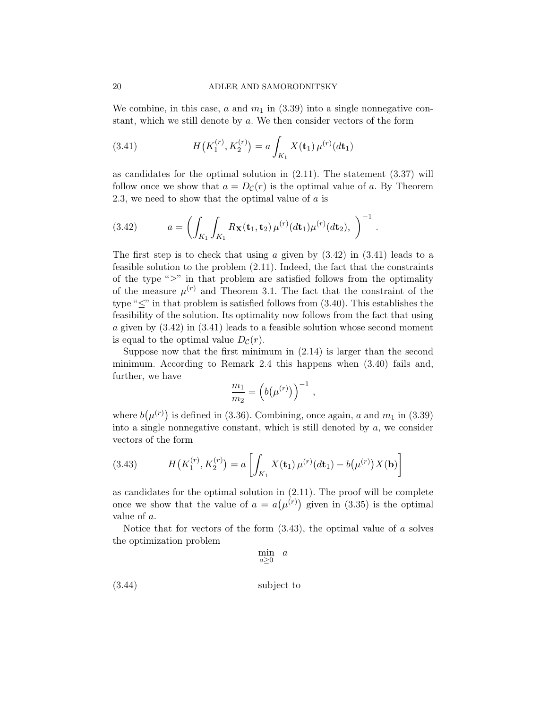We combine, in this case, a and  $m_1$  in [\(3.39\)](#page-18-0) into a single nonnegative constant, which we still denote by a. We then consider vectors of the form

<span id="page-19-1"></span>(3.41) 
$$
H(K_1^{(r)}, K_2^{(r)}) = a \int_{K_1} X(\mathbf{t}_1) \,\mu^{(r)}(d\mathbf{t}_1)
$$

as candidates for the optimal solution in [\(2.11\)](#page-4-0). The statement [\(3.37\)](#page-18-1) will follow once we show that  $a = D_{\mathcal{C}}(r)$  is the optimal value of a. By Theorem [2.3,](#page-5-2) we need to show that the optimal value of  $\alpha$  is

<span id="page-19-0"></span>(3.42) 
$$
a = \left( \int_{K_1} \int_{K_1} R_{\mathbf{X}}(\mathbf{t}_1, \mathbf{t}_2) \, \mu^{(r)}(d\mathbf{t}_1) \mu^{(r)}(d\mathbf{t}_2), \right)^{-1}.
$$

The first step is to check that using a given by  $(3.42)$  in  $(3.41)$  leads to a feasible solution to the problem [\(2.11\)](#page-4-0). Indeed, the fact that the constraints of the type " $\geq$ " in that problem are satisfied follows from the optimality of the measure  $\mu^{(r)}$  and Theorem [3.1.](#page-14-1) The fact that the constraint of the type " $\leq$ " in that problem is satisfied follows from [\(3.40\)](#page-18-2). This establishes the feasibility of the solution. Its optimality now follows from the fact that using a given by [\(3.42\)](#page-19-0) in [\(3.41\)](#page-19-1) leads to a feasible solution whose second moment is equal to the optimal value  $D_{\mathcal{C}}(r)$ .

Suppose now that the first minimum in [\(2.14\)](#page-5-1) is larger than the second minimum. According to Remark [2.4](#page-10-1) this happens when [\(3.40\)](#page-18-2) fails and, further, we have

$$
\frac{m_1}{m_2} = \left( b(\mu^{(r)}) \right)^{-1},
$$

where  $b(\mu^{(r)})$  is defined in [\(3.36\)](#page-17-1). Combining, once again, a and  $m_1$  in [\(3.39\)](#page-18-0) into a single nonnegative constant, which is still denoted by  $a$ , we consider vectors of the form

<span id="page-19-2"></span>(3.43) 
$$
H(K_1^{(r)}, K_2^{(r)}) = a \left[ \int_{K_1} X(\mathbf{t}_1) \, \mu^{(r)}(d\mathbf{t}_1) - b(\mu^{(r)}) X(\mathbf{b}) \right]
$$

as candidates for the optimal solution in [\(2.11\)](#page-4-0). The proof will be complete once we show that the value of  $a = a(\mu^{(r)})$  given in [\(3.35\)](#page-17-2) is the optimal value of a.

Notice that for vectors of the form  $(3.43)$ , the optimal value of a solves the optimization problem

<span id="page-19-3"></span>
$$
\min_{a \ge 0} a
$$
\n
$$
(3.44)
$$
\nsubject to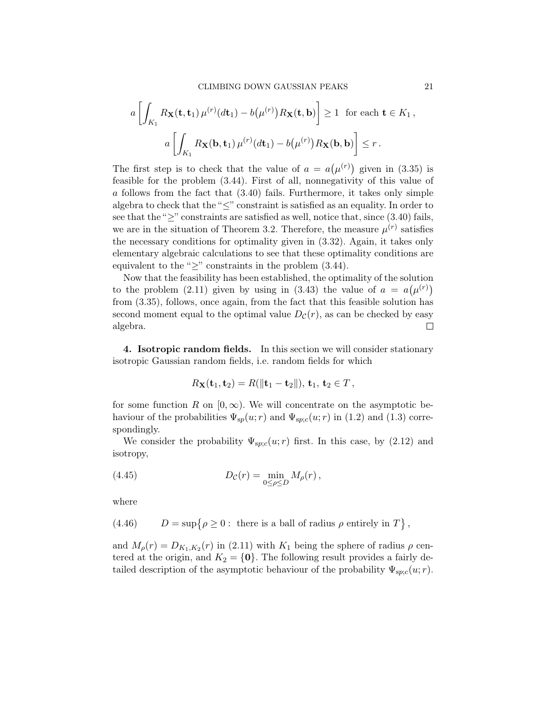$$
a\left[\int_{K_1} R_{\mathbf{X}}(\mathbf{t}, \mathbf{t}_1) \,\mu^{(r)}(d\mathbf{t}_1) - b(\mu^{(r)}) R_{\mathbf{X}}(\mathbf{t}, \mathbf{b})\right] \ge 1 \text{ for each } \mathbf{t} \in K_1,
$$
  

$$
a\left[\int_{K_1} R_{\mathbf{X}}(\mathbf{b}, \mathbf{t}_1) \,\mu^{(r)}(d\mathbf{t}_1) - b(\mu^{(r)}) R_{\mathbf{X}}(\mathbf{b}, \mathbf{b})\right] \le r.
$$

The first step is to check that the value of  $a = a(\mu^{(r)})$  given in [\(3.35\)](#page-17-2) is feasible for the problem [\(3.44\)](#page-19-3). First of all, nonnegativity of this value of a follows from the fact that [\(3.40\)](#page-18-2) fails. Furthermore, it takes only simple algebra to check that the " $\leq$ " constraint is satisfied as an equality. In order to see that the " $\geq$ " constraints are satisfied as well, notice that, since [\(3.40\)](#page-18-2) fails, we are in the situation of Theorem [3.2.](#page-15-2) Therefore, the measure  $\mu^{(r)}$  satisfies the necessary conditions for optimality given in [\(3.32\)](#page-16-0). Again, it takes only elementary algebraic calculations to see that these optimality conditions are equivalent to the " $\geq$ " constraints in the problem [\(3.44\)](#page-19-3).

Now that the feasibility has been established, the optimality of the solution to the problem [\(2.11\)](#page-4-0) given by using in [\(3.43\)](#page-19-2) the value of  $a = a(\mu^{(r)})$ from [\(3.35\)](#page-17-2), follows, once again, from the fact that this feasible solution has second moment equal to the optimal value  $D_{\mathcal{C}}(r)$ , as can be checked by easy algebra.  $\Box$ 

<span id="page-20-0"></span>4. Isotropic random fields. In this section we will consider stationary isotropic Gaussian random fields, i.e. random fields for which

<span id="page-20-1"></span>
$$
R_{\mathbf{X}}(\mathbf{t}_1, \mathbf{t}_2) = R(\|\mathbf{t}_1 - \mathbf{t}_2\|), \mathbf{t}_1, \mathbf{t}_2 \in T,
$$

for some function R on  $[0, \infty)$ . We will concentrate on the asymptotic behaviour of the probabilities  $\Psi_{sp}(u; r)$  and  $\Psi_{sp;c}(u; r)$  in [\(1.2\)](#page-1-0) and [\(1.3\)](#page-1-1) correspondingly.

We consider the probability  $\Psi_{sp;c}(u; r)$  first. In this case, by [\(2.12\)](#page-4-3) and isotropy,

(4.45) 
$$
D_{\mathcal{C}}(r) = \min_{0 \leq \rho \leq D} M_{\rho}(r) \,,
$$

where

<span id="page-20-2"></span>(4.46) 
$$
D = \sup \{ \rho \ge 0 : \text{ there is a ball of radius } \rho \text{ entirely in } T \},
$$

and  $M_{\rho}(r) = D_{K_1,K_2}(r)$  in [\(2.11\)](#page-4-0) with  $K_1$  being the sphere of radius  $\rho$  centered at the origin, and  $K_2 = \{0\}$ . The following result provides a fairly detailed description of the asymptotic behaviour of the probability  $\Psi_{sp;c}(u; r)$ .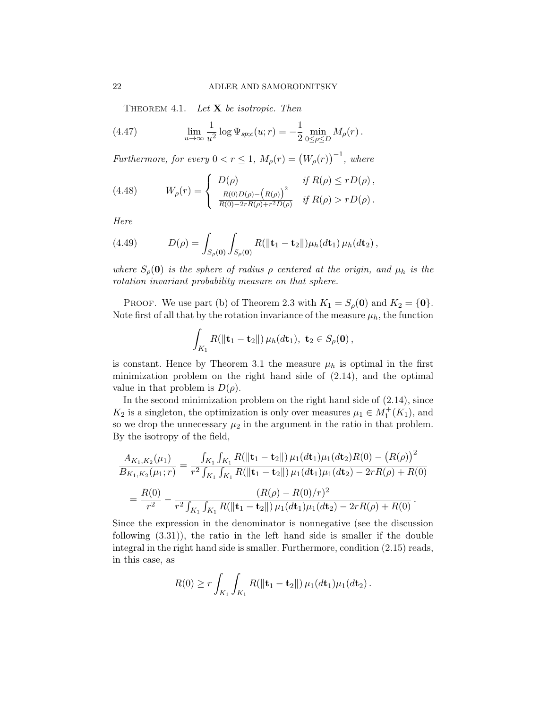<span id="page-21-2"></span><span id="page-21-1"></span>THEOREM 4.1. Let  $X$  be isotropic. Then

(4.47) 
$$
\lim_{u \to \infty} \frac{1}{u^2} \log \Psi_{sp;c}(u; r) = -\frac{1}{2} \min_{0 \le \rho \le D} M_{\rho}(r).
$$

Furthermore, for every  $0 < r \leq 1$ ,  $M_{\rho}(r) = (W_{\rho}(r))^{-1}$ , where

<span id="page-21-0"></span>(4.48) 
$$
W_{\rho}(r) = \begin{cases} D(\rho) & \text{if } R(\rho) \le rD(\rho), \\ \frac{R(0)D(\rho) - (R(\rho))^2}{R(0) - 2rR(\rho) + r^2D(\rho)} & \text{if } R(\rho) > rD(\rho). \end{cases}
$$

Here

<span id="page-21-3"></span>(4.49) 
$$
D(\rho) = \int_{S_{\rho}(\mathbf{0})} \int_{S_{\rho}(\mathbf{0})} R(||\mathbf{t}_1 - \mathbf{t}_2||) \mu_h(d\mathbf{t}_1) \mu_h(d\mathbf{t}_2),
$$

where  $S_{\rho}(\mathbf{0})$  is the sphere of radius  $\rho$  centered at the origin, and  $\mu_h$  is the rotation invariant probability measure on that sphere.

PROOF. We use part (b) of Theorem [2.3](#page-5-2) with  $K_1 = S_\rho(\mathbf{0})$  and  $K_2 = \{\mathbf{0}\}.$ Note first of all that by the rotation invariance of the measure  $\mu_h$ , the function

$$
\int_{K_1} R(\|\mathbf{t}_1 - \mathbf{t}_2\|) \,\mu_h(d\mathbf{t}_1), \ \mathbf{t}_2 \in S_{\rho}(\mathbf{0}),
$$

is constant. Hence by Theorem [3.1](#page-14-1) the measure  $\mu_h$  is optimal in the first minimization problem on the right hand side of [\(2.14\)](#page-5-1), and the optimal value in that problem is  $D(\rho)$ .

In the second minimization problem on the right hand side of [\(2.14\)](#page-5-1), since  $K_2$  is a singleton, the optimization is only over measures  $\mu_1 \in M_1^+(K_1)$ , and so we drop the unnecessary  $\mu_2$  in the argument in the ratio in that problem. By the isotropy of the field,

$$
\frac{A_{K_1,K_2}(\mu_1)}{B_{K_1,K_2}(\mu_1;r)} = \frac{\int_{K_1} \int_{K_1} R(\|\mathbf{t}_1 - \mathbf{t}_2\|) \mu_1(d\mathbf{t}_1)\mu_1(d\mathbf{t}_2) R(0) - (R(\rho))^2}{r^2 \int_{K_1} \int_{K_1} R(\|\mathbf{t}_1 - \mathbf{t}_2\|) \mu_1(d\mathbf{t}_1)\mu_1(d\mathbf{t}_2) - 2rR(\rho) + R(0)}
$$

$$
= \frac{R(0)}{r^2} - \frac{(R(\rho) - R(0)/r)^2}{r^2 \int_{K_1} \int_{K_1} R(\|\mathbf{t}_1 - \mathbf{t}_2\|) \mu_1(d\mathbf{t}_1)\mu_1(d\mathbf{t}_2) - 2rR(\rho) + R(0)}.
$$

Since the expression in the denominator is nonnegative (see the discussion following [\(3.31\)](#page-15-1)), the ratio in the left hand side is smaller if the double integral in the right hand side is smaller. Furthermore, condition [\(2.15\)](#page-5-0) reads, in this case, as

$$
R(0) \ge r \int_{K_1} \int_{K_1} R(||\mathbf{t}_1 - \mathbf{t}_2||) \,\mu_1(d\mathbf{t}_1)\mu_1(d\mathbf{t}_2).
$$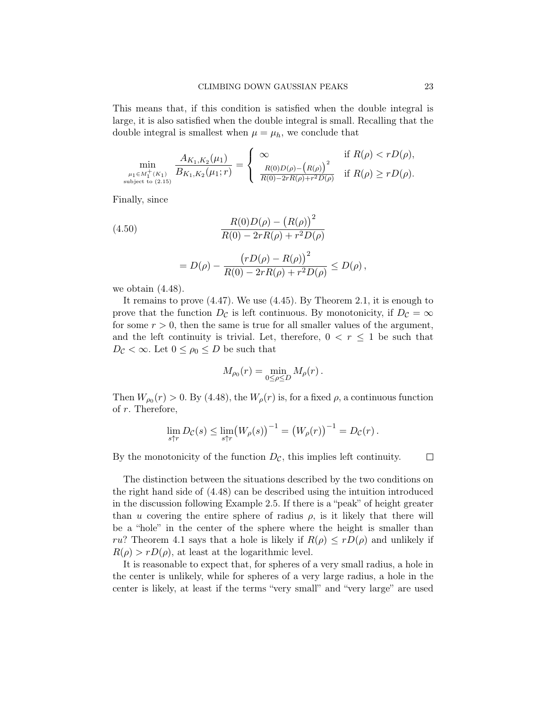This means that, if this condition is satisfied when the double integral is large, it is also satisfied when the double integral is small. Recalling that the double integral is smallest when  $\mu = \mu_h$ , we conclude that

$$
\min_{\substack{\mu_1 \in M_1^+(K_1) \\ \text{subject to } (2.15)}} \frac{A_{K_1, K_2}(\mu_1)}{B_{K_1, K_2}(\mu_1; r)} = \begin{cases} \infty & \text{if } R(\rho) < rD(\rho), \\ \frac{R(0)D(\rho) - (R(\rho))^2}{R(0) - 2rR(\rho) + r^2D(\rho)} & \text{if } R(\rho) \ge rD(\rho). \end{cases}
$$

Finally, since

<span id="page-22-0"></span>(4.50)  
\n
$$
\frac{R(0)D(\rho) - (R(\rho))^2}{R(0) - 2rR(\rho) + r^2D(\rho)}
$$
\n
$$
= D(\rho) - \frac{(rD(\rho) - R(\rho))^2}{R(0) - 2rR(\rho) + r^2D(\rho)} \le D(\rho),
$$

we obtain  $(4.48)$ .

It remains to prove [\(4.47\)](#page-21-1). We use [\(4.45\)](#page-20-1). By Theorem [2.1,](#page-2-1) it is enough to prove that the function  $D_{\mathcal{C}}$  is left continuous. By monotonicity, if  $D_{\mathcal{C}} = \infty$ for some  $r > 0$ , then the same is true for all smaller values of the argument, and the left continuity is trivial. Let, therefore,  $0 < r \leq 1$  be such that  $D_{\mathcal{C}} < \infty$ . Let  $0 \leq \rho_0 \leq D$  be such that

$$
M_{\rho_0}(r) = \min_{0 \le \rho \le D} M_{\rho}(r) \, .
$$

Then  $W_{\rho_0}(r) > 0$ . By [\(4.48\)](#page-21-0), the  $W_{\rho}(r)$  is, for a fixed  $\rho$ , a continuous function of r. Therefore,

$$
\lim_{s\uparrow r} D_{\mathcal{C}}(s) \leq \lim_{s\uparrow r} (W_{\rho}(s))^{-1} = (W_{\rho}(r))^{-1} = D_{\mathcal{C}}(r).
$$

By the monotonicity of the function  $D_{\mathcal{C}}$ , this implies left continuity.

 $\Box$ 

The distinction between the situations described by the two conditions on the right hand side of [\(4.48\)](#page-21-0) can be described using the intuition introduced in the discussion following Example [2.5.](#page-10-0) If there is a "peak" of height greater than u covering the entire sphere of radius  $\rho$ , is it likely that there will be a "hole" in the center of the sphere where the height is smaller than ru? Theorem [4.1](#page-21-2) says that a hole is likely if  $R(\rho) \leq rD(\rho)$  and unlikely if  $R(\rho) > rD(\rho)$ , at least at the logarithmic level.

It is reasonable to expect that, for spheres of a very small radius, a hole in the center is unlikely, while for spheres of a very large radius, a hole in the center is likely, at least if the terms "very small" and "very large" are used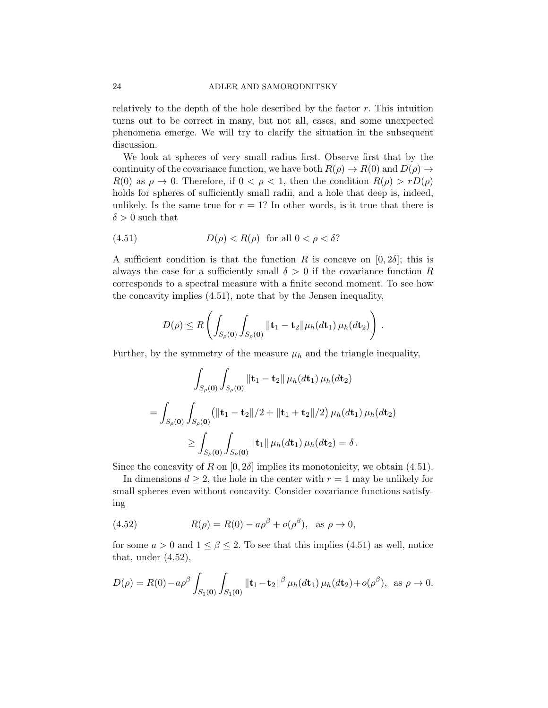## 24 ADLER AND SAMORODNITSKY

relatively to the depth of the hole described by the factor  $r$ . This intuition turns out to be correct in many, but not all, cases, and some unexpected phenomena emerge. We will try to clarify the situation in the subsequent discussion.

We look at spheres of very small radius first. Observe first that by the continuity of the covariance function, we have both  $R(\rho) \to R(0)$  and  $D(\rho) \to$  $R(0)$  as  $\rho \to 0$ . Therefore, if  $0 < \rho < 1$ , then the condition  $R(\rho) > rD(\rho)$ holds for spheres of sufficiently small radii, and a hole that deep is, indeed, unlikely. Is the same true for  $r = 1$ ? In other words, is it true that there is  $\delta > 0$  such that

<span id="page-23-0"></span>(4.51) 
$$
D(\rho) < R(\rho) \quad \text{for all } 0 < \rho < \delta?
$$

A sufficient condition is that the function R is concave on  $[0, 2\delta]$ ; this is always the case for a sufficiently small  $\delta > 0$  if the covariance function R corresponds to a spectral measure with a finite second moment. To see how the concavity implies [\(4.51\)](#page-23-0), note that by the Jensen inequality,

$$
D(\rho) \leq R \left( \int_{S_{\rho}(\mathbf{0})} \int_{S_{\rho}(\mathbf{0})} || \mathbf{t}_1 - \mathbf{t}_2 || \mu_h(d\mathbf{t}_1) \mu_h(d\mathbf{t}_2) \right).
$$

Further, by the symmetry of the measure  $\mu_h$  and the triangle inequality,

$$
\int_{S_{\rho}(\mathbf{0})} \int_{S_{\rho}(\mathbf{0})} \|\mathbf{t}_{1} - \mathbf{t}_{2} \| \mu_{h}(d\mathbf{t}_{1}) \mu_{h}(d\mathbf{t}_{2})
$$
\n
$$
= \int_{S_{\rho}(\mathbf{0})} \int_{S_{\rho}(\mathbf{0})} (\|\mathbf{t}_{1} - \mathbf{t}_{2}\|/2 + \|\mathbf{t}_{1} + \mathbf{t}_{2}\|/2) \mu_{h}(d\mathbf{t}_{1}) \mu_{h}(d\mathbf{t}_{2})
$$
\n
$$
\geq \int_{S_{\rho}(\mathbf{0})} \int_{S_{\rho}(\mathbf{0})} \|\mathbf{t}_{1} \| \mu_{h}(d\mathbf{t}_{1}) \mu_{h}(d\mathbf{t}_{2}) = \delta.
$$

Since the concavity of R on  $[0, 2\delta]$  implies its monotonicity, we obtain [\(4.51\)](#page-23-0).

In dimensions  $d \geq 2$ , the hole in the center with  $r = 1$  may be unlikely for small spheres even without concavity. Consider covariance functions satisfying

<span id="page-23-1"></span>(4.52) 
$$
R(\rho) = R(0) - a\rho^{\beta} + o(\rho^{\beta}), \text{ as } \rho \to 0,
$$

for some  $a > 0$  and  $1 \leq \beta \leq 2$ . To see that this implies [\(4.51\)](#page-23-0) as well, notice that, under  $(4.52)$ ,

$$
D(\rho) = R(0) - a\rho^{\beta} \int_{S_1(\mathbf{0})} \int_{S_1(\mathbf{0})} \|\mathbf{t}_1 - \mathbf{t}_2\|^{\beta} \mu_h(d\mathbf{t}_1) \mu_h(d\mathbf{t}_2) + o(\rho^{\beta}), \text{ as } \rho \to 0.
$$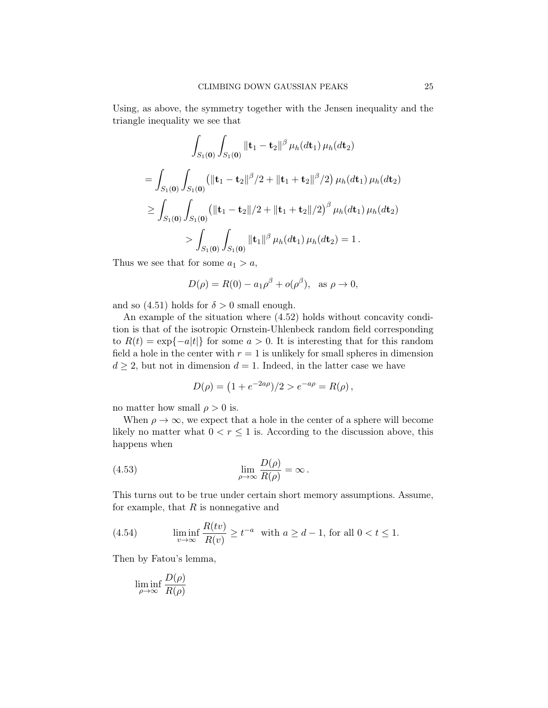Using, as above, the symmetry together with the Jensen inequality and the triangle inequality we see that

$$
\int_{S_1(\mathbf{0})} \int_{S_1(\mathbf{0})} \left\| \mathbf{t}_1 - \mathbf{t}_2 \right\|^\beta \mu_h(dt_1) \mu_h(dt_2)
$$
\n
$$
= \int_{S_1(\mathbf{0})} \int_{S_1(\mathbf{0})} \left( \|\mathbf{t}_1 - \mathbf{t}_2\|^\beta / 2 + \|\mathbf{t}_1 + \mathbf{t}_2\|^\beta / 2 \right) \mu_h(dt_1) \mu_h(dt_2)
$$
\n
$$
\geq \int_{S_1(\mathbf{0})} \int_{S_1(\mathbf{0})} \left( \|\mathbf{t}_1 - \mathbf{t}_2\| / 2 + \|\mathbf{t}_1 + \mathbf{t}_2\| / 2 \right)^\beta \mu_h(dt_1) \mu_h(dt_2)
$$
\n
$$
> \int_{S_1(\mathbf{0})} \int_{S_1(\mathbf{0})} \|\mathbf{t}_1\|^\beta \mu_h(dt_1) \mu_h(dt_2) = 1.
$$

Thus we see that for some  $a_1 > a$ ,

$$
D(\rho) = R(0) - a_1 \rho^{\beta} + o(\rho^{\beta}), \text{ as } \rho \to 0,
$$

and so [\(4.51\)](#page-23-0) holds for  $\delta > 0$  small enough.

An example of the situation where [\(4.52\)](#page-23-1) holds without concavity condition is that of the isotropic Ornstein-Uhlenbeck random field corresponding to  $R(t) = \exp\{-a|t|\}$  for some  $a > 0$ . It is interesting that for this random field a hole in the center with  $r = 1$  is unlikely for small spheres in dimension  $d \geq 2$ , but not in dimension  $d = 1$ . Indeed, in the latter case we have

<span id="page-24-0"></span>
$$
D(\rho) = (1 + e^{-2a\rho})/2 > e^{-a\rho} = R(\rho) ,
$$

no matter how small  $\rho > 0$  is.

When  $\rho \to \infty$ , we expect that a hole in the center of a sphere will become likely no matter what  $0 < r \leq 1$  is. According to the discussion above, this happens when

(4.53) 
$$
\lim_{\rho \to \infty} \frac{D(\rho)}{R(\rho)} = \infty.
$$

This turns out to be true under certain short memory assumptions. Assume, for example, that  $R$  is nonnegative and

(4.54) 
$$
\liminf_{v \to \infty} \frac{R(tv)}{R(v)} \ge t^{-a} \text{ with } a \ge d - 1 \text{, for all } 0 < t \le 1.
$$

Then by Fatou's lemma,

$$
\liminf_{\rho \to \infty} \frac{D(\rho)}{R(\rho)}
$$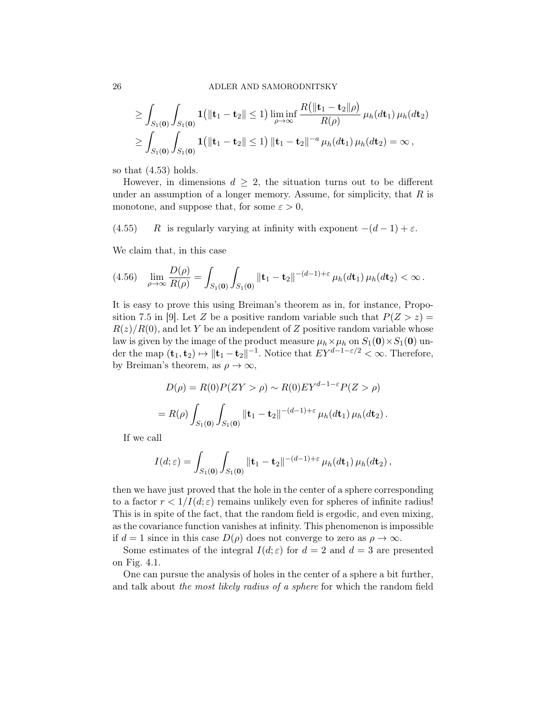#### 26 ADLER AND SAMORODNITSKY

$$
\geq \int_{S_1(\mathbf{0})} \int_{S_1(\mathbf{0})} \mathbf{1} \left( \|\mathbf{t}_1 - \mathbf{t}_2\| \leq 1 \right) \liminf_{\rho \to \infty} \frac{R \left( \|\mathbf{t}_1 - \mathbf{t}_2\| \rho \right)}{R(\rho)} \, \mu_h(d\mathbf{t}_1) \, \mu_h(d\mathbf{t}_2) \geq \int_{S_1(\mathbf{0})} \int_{S_1(\mathbf{0})} \mathbf{1} \left( \|\mathbf{t}_1 - \mathbf{t}_2\| \leq 1 \right) \|\mathbf{t}_1 - \mathbf{t}_2\|^{-a} \, \mu_h(d\mathbf{t}_1) \, \mu_h(d\mathbf{t}_2) = \infty \,,
$$

so that [\(4.53\)](#page-24-0) holds.

However, in dimensions  $d \geq 2$ , the situation turns out to be different under an assumption of a longer memory. Assume, for simplicity, that  $R$  is monotone, and suppose that, for some  $\varepsilon > 0$ ,

(4.55) R is regularly varying at infinity with exponent  $-(d-1) + \varepsilon$ .

We claim that, in this case

$$
(4.56)\quad \lim_{\rho \to \infty} \frac{D(\rho)}{R(\rho)} = \int_{S_1(\mathbf{0})} \int_{S_1(\mathbf{0})} ||\mathbf{t}_1 - \mathbf{t}_2||^{-(d-1) + \varepsilon} \mu_h(dt_1) \mu_h(dt_2) < \infty.
$$

It is easy to prove this using Breiman's theorem as in, for instance, Propo-sition 7.5 in [\[9\]](#page-31-9). Let Z be a positive random variable such that  $P(Z > z) =$  $R(z)/R(0)$ , and let Y be an independent of Z positive random variable whose law is given by the image of the product measure  $\mu_h \times \mu_h$  on  $S_1(\mathbf{0}) \times S_1(\mathbf{0})$  under the map  $(\mathbf{t}_1, \mathbf{t}_2) \mapsto ||\mathbf{t}_1 - \mathbf{t}_2||^{-1}$ . Notice that  $EY^{d-1-\varepsilon/2} < \infty$ . Therefore, by Breiman's theorem, as  $\rho \to \infty$ ,

$$
D(\rho) = R(0)P(ZY > \rho) \sim R(0)EY^{d-1-\epsilon}P(Z > \rho)
$$
  
=  $R(\rho) \int_{S_1(\mathbf{0})} \int_{S_1(\mathbf{0})} ||\mathbf{t}_1 - \mathbf{t}_2||^{-(d-1)+\epsilon} \mu_h(dt_1) \mu_h(dt_2).$ 

If we call

$$
I(d; \varepsilon) = \int_{S_1(\mathbf{0})} \int_{S_1(\mathbf{0})} || \mathbf{t}_1 - \mathbf{t}_2 ||^{-(d-1) + \varepsilon} \mu_h(dt_1) \mu_h(dt_2),
$$

then we have just proved that the hole in the center of a sphere corresponding to a factor  $r < 1/I(d; \varepsilon)$  remains unlikely even for spheres of infinite radius! This is in spite of the fact, that the random field is ergodic, and even mixing, as the covariance function vanishes at infinity. This phenomenon is impossible if  $d = 1$  since in this case  $D(\rho)$  does not converge to zero as  $\rho \to \infty$ .

Some estimates of the integral  $I(d; \varepsilon)$  for  $d = 2$  and  $d = 3$  are presented on Fig. [4.1.](#page-26-0)

One can pursue the analysis of holes in the center of a sphere a bit further, and talk about the most likely radius of a sphere for which the random field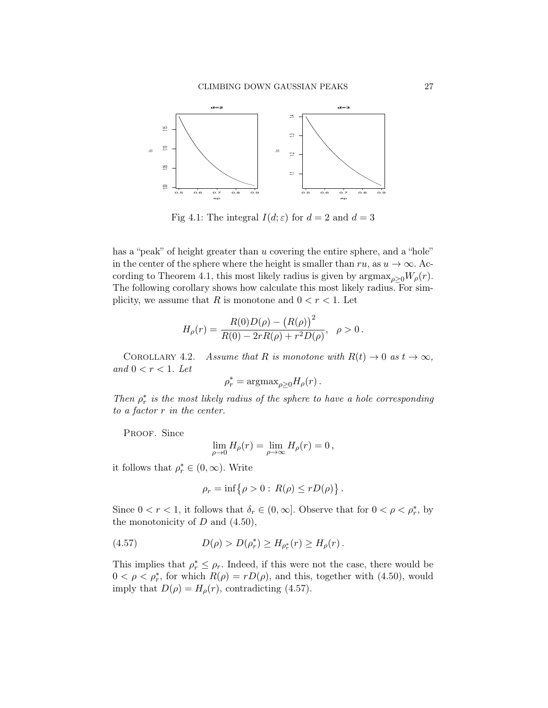<span id="page-26-0"></span>

Fig 4.1: The integral  $I(d; \varepsilon)$  for  $d = 2$  and  $d = 3$ 

has a "peak" of height greater than u covering the entire sphere, and a "hole" in the center of the sphere where the height is smaller than  $ru$ , as  $u \to \infty$ . Ac-cording to Theorem [4.1,](#page-21-2) this most likely radius is given by  $\argmax_{\rho>0}W_{\rho}(r)$ . The following corollary shows how calculate this most likely radius. For simplicity, we assume that R is monotone and  $0 < r < 1$ . Let

$$
H_{\rho}(r) = \frac{R(0)D(\rho) - (R(\rho))^{2}}{R(0) - 2rR(\rho) + r^{2}D(\rho)}, \ \ \rho > 0.
$$

COROLLARY 4.2. Assume that R is monotone with  $R(t) \to 0$  as  $t \to \infty$ , and  $0 < r < 1$ . Let

$$
\rho_r^* = \mathrm{argmax}_{\rho \ge 0} H_\rho(r) \,.
$$

Then  $\rho_r^*$  is the most likely radius of the sphere to have a hole corresponding to a factor r in the center.

PROOF. Since

$$
\lim_{\rho \to 0} H_{\rho}(r) = \lim_{\rho \to \infty} H_{\rho}(r) = 0,
$$

it follows that  $\rho_r^* \in (0, \infty)$ . Write

<span id="page-26-1"></span>
$$
\rho_r = \inf \{ \rho > 0 : R(\rho) \le r D(\rho) \} .
$$

Since  $0 < r < 1$ , it follows that  $\delta_r \in (0, \infty]$ . Observe that for  $0 < \rho < \rho_r^*$ , by the monotonicity of  $D$  and  $(4.50)$ ,

(4.57) 
$$
D(\rho) > D(\rho_r^*) \ge H_{\rho_r^*}(r) \ge H_{\rho}(r).
$$

This implies that  $\rho_r^* \leq \rho_r$ . Indeed, if this were not the case, there would be  $0 < \rho < \rho_r^*$ , for which  $R(\rho) = rD(\rho)$ , and this, together with [\(4.50\)](#page-22-0), would imply that  $D(\rho) = H_{\rho}(r)$ , contradicting [\(4.57\)](#page-26-1).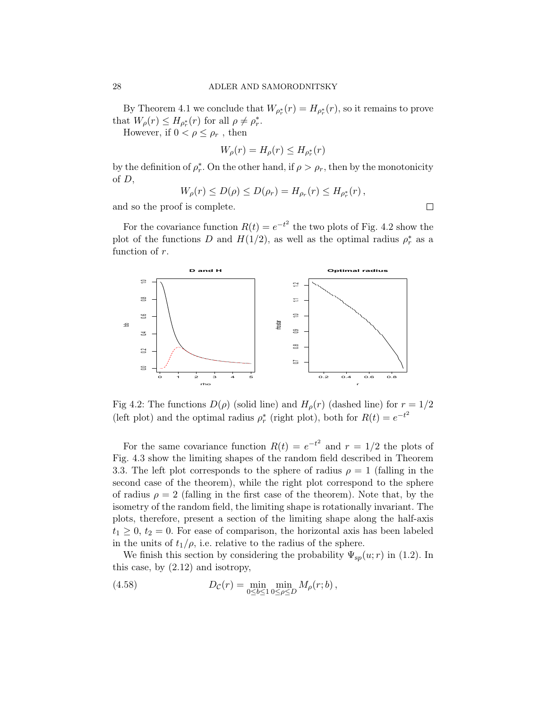By Theorem [4.1](#page-21-2) we conclude that  $W_{\rho^*_{r}}(r) = H_{\rho^*_{r}}(r)$ , so it remains to prove that  $W_{\rho}(r) \leq H_{\rho_r^*}(r)$  for all  $\rho \neq \rho_r^*$ .

However, if  $0 < \rho \leq \rho_r$ , then

$$
W_{\rho}(r) = H_{\rho}(r) \leq H_{\rho_r^*}(r)
$$

by the definition of  $\rho_r^*$ . On the other hand, if  $\rho > \rho_r$ , then by the monotonicity of D,

$$
W_{\rho}(r) \leq D(\rho) \leq D(\rho_r) = H_{\rho_r}(r) \leq H_{\rho_r^*}(r) ,
$$

and so the proof is complete.

For the covariance function  $R(t) = e^{-t^2}$  the two plots of Fig. [4.2](#page-27-0) show the plot of the functions D and  $H(1/2)$ , as well as the optimal radius  $\rho_r^*$  as a function of r.

<span id="page-27-0"></span>

Fig 4.2: The functions  $D(\rho)$  (solid line) and  $H_{\rho}(r)$  (dashed line) for  $r = 1/2$ (left plot) and the optimal radius  $\rho_r^*$  (right plot), both for  $R(t) = e^{-t^2}$ 

For the same covariance function  $R(t) = e^{-t^2}$  and  $r = 1/2$  the plots of Fig. [4.3](#page-28-0) show the limiting shapes of the random field described in Theorem [3.3.](#page-17-0) The left plot corresponds to the sphere of radius  $\rho = 1$  (falling in the second case of the theorem), while the right plot correspond to the sphere of radius  $\rho = 2$  (falling in the first case of the theorem). Note that, by the isometry of the random field, the limiting shape is rotationally invariant. The plots, therefore, present a section of the limiting shape along the half-axis  $t_1 \geq 0, t_2 = 0.$  For ease of comparison, the horizontal axis has been labeled in the units of  $t_1/\rho$ , i.e. relative to the radius of the sphere.

We finish this section by considering the probability  $\Psi_{sp}(u; r)$  in [\(1.2\)](#page-1-0). In this case, by [\(2.12\)](#page-4-3) and isotropy,

<span id="page-27-1"></span>(4.58) 
$$
D_{\mathcal{C}}(r) = \min_{0 \le b \le 1} \min_{0 \le \rho \le D} M_{\rho}(r; b),
$$

 $\Box$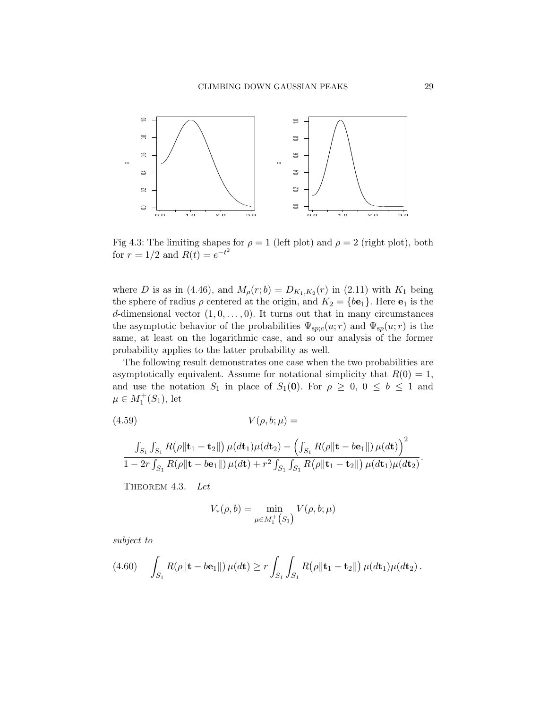<span id="page-28-0"></span>

Fig 4.3: The limiting shapes for  $\rho = 1$  (left plot) and  $\rho = 2$  (right plot), both for  $r = 1/2$  and  $R(t) = e^{-t^2}$ 

where D is as in [\(4.46\)](#page-20-2), and  $M_{\rho}(r;b) = D_{K_1,K_2}(r)$  in [\(2.11\)](#page-4-0) with  $K_1$  being the sphere of radius  $\rho$  centered at the origin, and  $K_2 = \{b\mathbf{e}_1\}$ . Here  $\mathbf{e}_1$  is the d-dimensional vector  $(1, 0, \ldots, 0)$ . It turns out that in many circumstances the asymptotic behavior of the probabilities  $\Psi_{sp;c}(u; r)$  and  $\Psi_{sp}(u; r)$  is the same, at least on the logarithmic case, and so our analysis of the former probability applies to the latter probability as well.

The following result demonstrates one case when the two probabilities are asymptotically equivalent. Assume for notational simplicity that  $R(0) = 1$ , and use the notation  $S_1$  in place of  $S_1(0)$ . For  $\rho \geq 0, 0 \leq b \leq 1$  and  $\mu \in M_1^+(S_1)$ , let

$$
(4.59) \tV(\rho, b; \mu) =
$$

$$
\frac{\int_{S_1} \int_{S_1} R(\rho \|\mathbf{t}_1 - \mathbf{t}_2\|) \mu(d\mathbf{t}_1)\mu(d\mathbf{t}_2) - \left(\int_{S_1} R(\rho \|\mathbf{t} - b\mathbf{e}_1\|) \mu(d\mathbf{t})\right)^2}{1 - 2r \int_{S_1} R(\rho \|\mathbf{t} - b\mathbf{e}_1\|) \mu(d\mathbf{t}) + r^2 \int_{S_1} \int_{S_1} R(\rho \|\mathbf{t}_1 - \mathbf{t}_2\|) \mu(d\mathbf{t}_1)\mu(d\mathbf{t}_2)}.
$$

<span id="page-28-3"></span>THEOREM 4.3. Let

<span id="page-28-2"></span>
$$
V_*(\rho, b) = \min_{\mu \in M_1^+}(s_1) V(\rho, b; \mu)
$$

subject to

<span id="page-28-1"></span>
$$
(4.60) \quad \int_{S_1} R(\rho \|\mathbf{t} - b\mathbf{e}_1\|) \, \mu(dt) \ge r \int_{S_1} \int_{S_1} R(\rho \|\mathbf{t}_1 - \mathbf{t}_2\|) \, \mu(dt_1) \mu(dt_2).
$$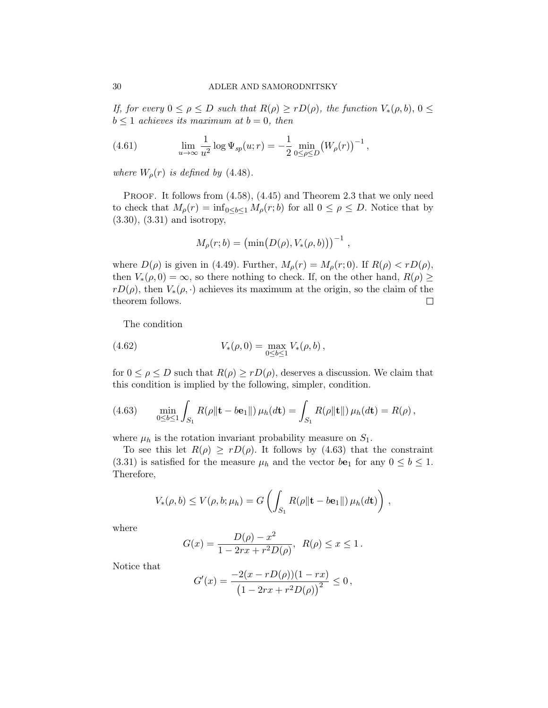If, for every  $0 \le \rho \le D$  such that  $R(\rho) \ge rD(\rho)$ , the function  $V_*(\rho, b), 0 \le$  $b \leq 1$  achieves its maximum at  $b = 0$ , then

<span id="page-29-2"></span>(4.61) 
$$
\lim_{u \to \infty} \frac{1}{u^2} \log \Psi_{sp}(u; r) = -\frac{1}{2} \min_{0 \le \rho \le D} (W_{\rho}(r))^{-1},
$$

where  $W_{\rho}(r)$  is defined by [\(4.48\)](#page-21-0).

PROOF. It follows from  $(4.58)$ ,  $(4.45)$  and Theorem [2.3](#page-5-2) that we only need to check that  $M_{\rho}(r) = \inf_{0 \leq b \leq 1} M_{\rho}(r; b)$  for all  $0 \leq \rho \leq D$ . Notice that by [\(3.30\)](#page-15-0), [\(3.31\)](#page-15-1) and isotropy,

$$
M_{\rho}(r;b) = (\min(D(\rho), V_*(\rho, b)))^{-1}
$$
,

where  $D(\rho)$  is given in [\(4.49\)](#page-21-3). Further,  $M_{\rho}(r) = M_{\rho}(r; 0)$ . If  $R(\rho) < rD(\rho)$ , then  $V_*(\rho, 0) = \infty$ , so there nothing to check. If, on the other hand,  $R(\rho) \ge$  $rD(\rho)$ , then  $V_*(\rho, \cdot)$  achieves its maximum at the origin, so the claim of the theorem follows.  $\Box$ 

<span id="page-29-1"></span>The condition

(4.62) 
$$
V_*(\rho,0) = \max_{0 \le b \le 1} V_*(\rho,b),
$$

for  $0 \leq \rho \leq D$  such that  $R(\rho) \geq rD(\rho)$ , deserves a discussion. We claim that this condition is implied by the following, simpler, condition.

<span id="page-29-0"></span>(4.63) 
$$
\min_{0 \le b \le 1} \int_{S_1} R(\rho || \mathbf{t} - b \mathbf{e}_1 ||) \, \mu_h(d\mathbf{t}) = \int_{S_1} R(\rho || \mathbf{t} ||) \, \mu_h(d\mathbf{t}) = R(\rho) \, ,
$$

where  $\mu_h$  is the rotation invariant probability measure on  $S_1$ .

To see this let  $R(\rho) \ge rD(\rho)$ . It follows by [\(4.63\)](#page-29-0) that the constraint [\(3.31\)](#page-15-1) is satisfied for the measure  $\mu_h$  and the vector  $b\mathbf{e}_1$  for any  $0 \leq b \leq 1$ . Therefore,

$$
V_*(\rho,b)\leq V(\rho,b;\mu_h)=G\left(\int_{S_1}R(\rho\|\mathbf{t}-b\mathbf{e}_1\|)\,\mu_h(d\mathbf{t})\right)\,,
$$

where

$$
G(x) = \frac{D(\rho) - x^2}{1 - 2rx + r^2 D(\rho)}, \ \ R(\rho) \le x \le 1.
$$

Notice that

$$
G'(x) = \frac{-2(x - rD(\rho))(1 - rx)}{(1 - 2rx + r^2D(\rho))^2} \le 0,
$$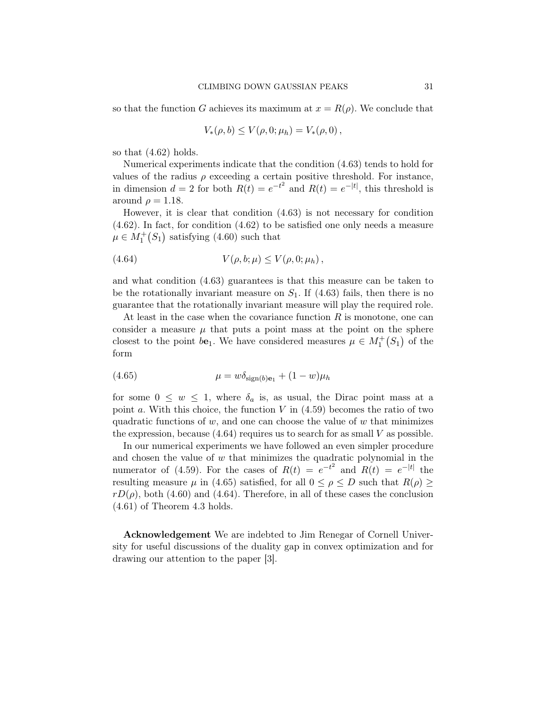so that the function G achieves its maximum at  $x = R(\rho)$ . We conclude that

$$
V_*(\rho, b) \le V(\rho, 0; \mu_h) = V_*(\rho, 0) ,
$$

so that [\(4.62\)](#page-29-1) holds.

Numerical experiments indicate that the condition [\(4.63\)](#page-29-0) tends to hold for values of the radius  $\rho$  exceeding a certain positive threshold. For instance, in dimension  $d = 2$  for both  $R(t) = e^{-t^2}$  and  $R(t) = e^{-|t|}$ , this threshold is around  $\rho = 1.18$ .

However, it is clear that condition [\(4.63\)](#page-29-0) is not necessary for condition [\(4.62\)](#page-29-1). In fact, for condition [\(4.62\)](#page-29-1) to be satisfied one only needs a measure  $\mu \in M_1^+(S_1)$  satisfying [\(4.60\)](#page-28-1) such that

<span id="page-30-0"></span>(4.64) 
$$
V(\rho, b; \mu) \le V(\rho, 0; \mu_h),
$$

and what condition [\(4.63\)](#page-29-0) guarantees is that this measure can be taken to be the rotationally invariant measure on  $S_1$ . If [\(4.63\)](#page-29-0) fails, then there is no guarantee that the rotationally invariant measure will play the required role.

At least in the case when the covariance function  $R$  is monotone, one can consider a measure  $\mu$  that puts a point mass at the point on the sphere closest to the point  $b\mathbf{e}_1$ . We have considered measures  $\mu \in M_1^+(S_1)$  of the form

<span id="page-30-1"></span>
$$
(4.65) \qquad \qquad \mu = w \delta_{\text{sign}(b)\mathbf{e}_1} + (1 - w)\mu_h
$$

for some  $0 \leq w \leq 1$ , where  $\delta_a$  is, as usual, the Dirac point mass at a point a. With this choice, the function  $V$  in  $(4.59)$  becomes the ratio of two quadratic functions of  $w$ , and one can choose the value of  $w$  that minimizes the expression, because  $(4.64)$  requires us to search for as small V as possible.

In our numerical experiments we have followed an even simpler procedure and chosen the value of  $w$  that minimizes the quadratic polynomial in the numerator of [\(4.59\)](#page-28-2). For the cases of  $R(t) = e^{-t^2}$  and  $R(t) = e^{-|t|}$  the resulting measure  $\mu$  in [\(4.65\)](#page-30-1) satisfied, for all  $0 \le \rho \le D$  such that  $R(\rho) \ge$  $rD(\rho)$ , both [\(4.60\)](#page-28-1) and [\(4.64\)](#page-30-0). Therefore, in all of these cases the conclusion [\(4.61\)](#page-29-2) of Theorem [4.3](#page-28-3) holds.

Acknowledgement We are indebted to Jim Renegar of Cornell University for useful discussions of the duality gap in convex optimization and for drawing our attention to the paper [\[3\]](#page-31-7).